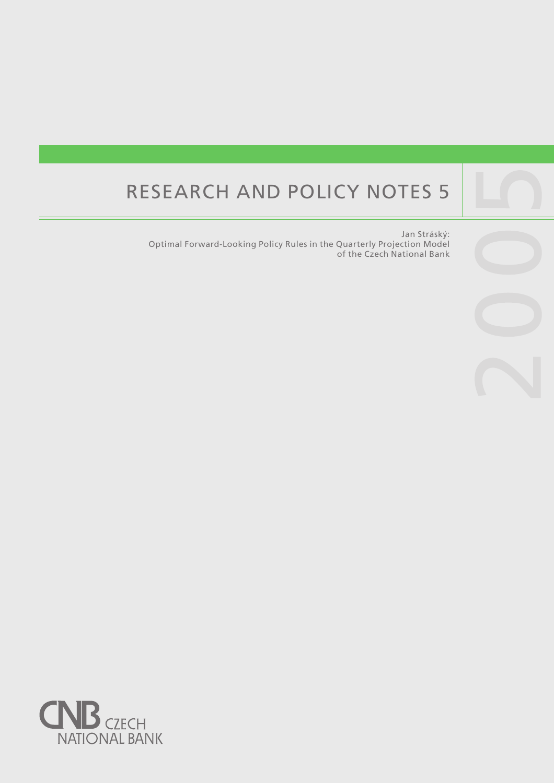# RESEARCH AND POLICY NOTES 5

Jan Stráský: Optimal Forward-Looking Policy Rules in the Quarterly Projection Model of the Czech National Bank

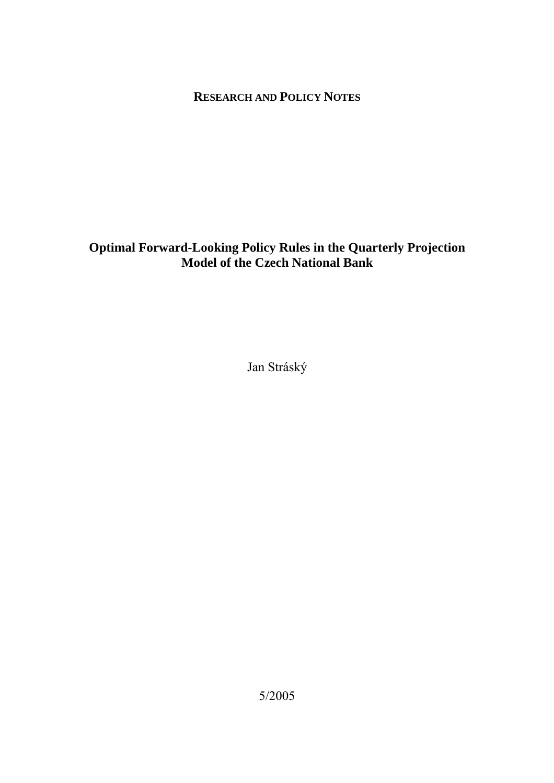# **RESEARCH AND POLICY NOTES**

# **Optimal Forward-Looking Policy Rules in the Quarterly Projection Model of the Czech National Bank**

Jan Stráský

5/2005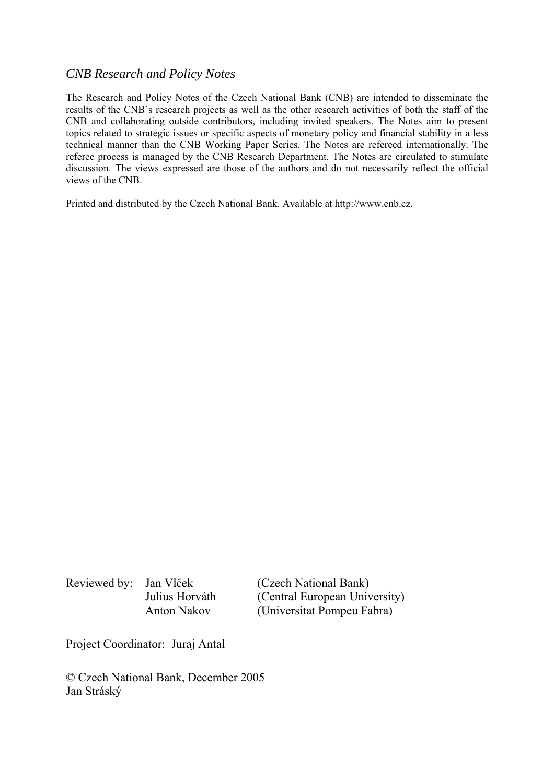## *CNB Research and Policy Notes*

The Research and Policy Notes of the Czech National Bank (CNB) are intended to disseminate the results of the CNB's research projects as well as the other research activities of both the staff of the CNB and collaborating outside contributors, including invited speakers. The Notes aim to present topics related to strategic issues or specific aspects of monetary policy and financial stability in a less technical manner than the CNB Working Paper Series. The Notes are refereed internationally. The referee process is managed by the CNB Research Department. The Notes are circulated to stimulate discussion. The views expressed are those of the authors and do not necessarily reflect the official views of the CNB.

Printed and distributed by the Czech National Bank. Available at http://www.cnb.cz.

Reviewed by: Jan Vlček (Czech National Bank)

 Julius Horváth (Central European University) Anton Nakov (Universitat Pompeu Fabra)

Project Coordinator: Juraj Antal

© Czech National Bank, December 2005 Jan Stráský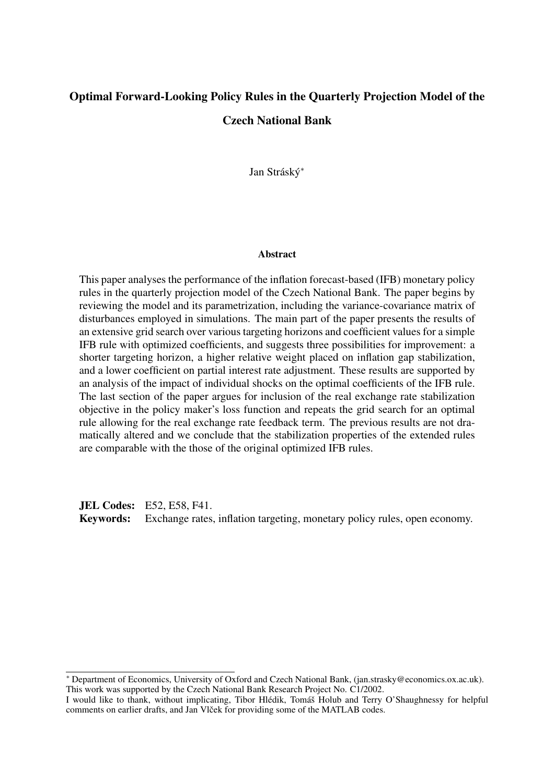# Optimal Forward-Looking Policy Rules in the Quarterly Projection Model of the Czech National Bank

Jan Stráský\*

#### **Abstract**

This paper analyses the performance of the inflation forecast-based (IFB) monetary policy rules in the quarterly projection model of the Czech National Bank. The paper begins by reviewing the model and its parametrization, including the variance-covariance matrix of disturbances employed in simulations. The main part of the paper presents the results of an extensive grid search over various targeting horizons and coefficient values for a simple IFB rule with optimized coefficients, and suggests three possibilities for improvement: a shorter targeting horizon, a higher relative weight placed on inflation gap stabilization, and a lower coefficient on partial interest rate adjustment. These results are supported by an analysis of the impact of individual shocks on the optimal coefficients of the IFB rule. The last section of the paper argues for inclusion of the real exchange rate stabilization objective in the policy maker's loss function and repeats the grid search for an optimal rule allowing for the real exchange rate feedback term. The previous results are not dramatically altered and we conclude that the stabilization properties of the extended rules are comparable with the those of the original optimized IFB rules.

**JEL Codes: E52, E58, F41.** Keywords: Exchange rates, inflation targeting, monetary policy rules, open economy.

<sup>∗</sup> Department of Economics, University of Oxford and Czech National Bank, (jan.strasky@economics.ox.ac.uk). This work was supported by the Czech National Bank Research Project No. C1/2002.

I would like to thank, without implicating, Tibor Hlédik, Tomáš Holub and Terry O'Shaughnessy for helpful comments on earlier drafts, and Jan Vlček for providing some of the MATLAB codes.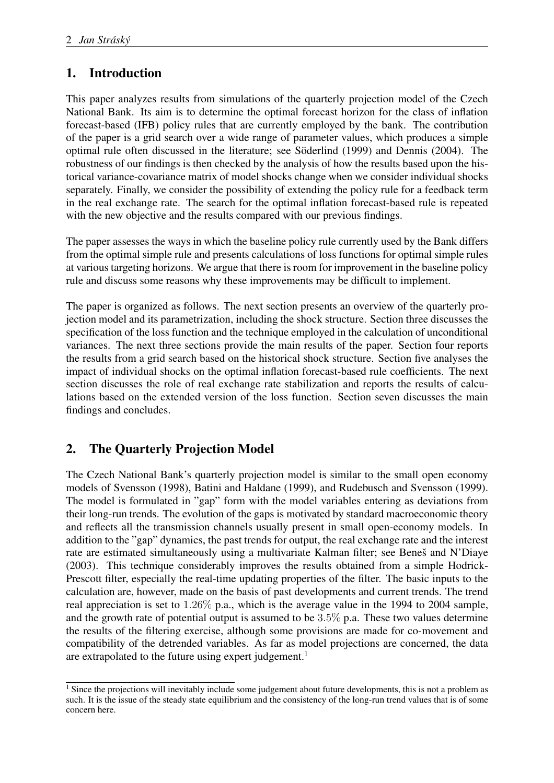# 1. Introduction

This paper analyzes results from simulations of the quarterly projection model of the Czech National Bank. Its aim is to determine the optimal forecast horizon for the class of inflation forecast-based (IFB) policy rules that are currently employed by the bank. The contribution of the paper is a grid search over a wide range of parameter values, which produces a simple optimal rule often discussed in the literature; see Söderlind (1999) and Dennis (2004). The robustness of our findings is then checked by the analysis of how the results based upon the historical variance-covariance matrix of model shocks change when we consider individual shocks separately. Finally, we consider the possibility of extending the policy rule for a feedback term in the real exchange rate. The search for the optimal inflation forecast-based rule is repeated with the new objective and the results compared with our previous findings.

The paper assesses the ways in which the baseline policy rule currently used by the Bank differs from the optimal simple rule and presents calculations of loss functions for optimal simple rules at various targeting horizons. We argue that there is room for improvement in the baseline policy rule and discuss some reasons why these improvements may be difficult to implement.

The paper is organized as follows. The next section presents an overview of the quarterly projection model and its parametrization, including the shock structure. Section three discusses the specification of the loss function and the technique employed in the calculation of unconditional variances. The next three sections provide the main results of the paper. Section four reports the results from a grid search based on the historical shock structure. Section five analyses the impact of individual shocks on the optimal inflation forecast-based rule coefficients. The next section discusses the role of real exchange rate stabilization and reports the results of calculations based on the extended version of the loss function. Section seven discusses the main findings and concludes.

# 2. The Quarterly Projection Model

The Czech National Bank's quarterly projection model is similar to the small open economy models of Svensson (1998), Batini and Haldane (1999), and Rudebusch and Svensson (1999). The model is formulated in "gap" form with the model variables entering as deviations from their long-run trends. The evolution of the gaps is motivated by standard macroeconomic theory and reflects all the transmission channels usually present in small open-economy models. In addition to the "gap" dynamics, the past trends for output, the real exchange rate and the interest rate are estimated simultaneously using a multivariate Kalman filter; see Beneš and N'Diaye (2003). This technique considerably improves the results obtained from a simple Hodrick-Prescott filter, especially the real-time updating properties of the filter. The basic inputs to the calculation are, however, made on the basis of past developments and current trends. The trend real appreciation is set to 1.26% p.a., which is the average value in the 1994 to 2004 sample, and the growth rate of potential output is assumed to be  $3.5\%$  p.a. These two values determine the results of the filtering exercise, although some provisions are made for co-movement and compatibility of the detrended variables. As far as model projections are concerned, the data are extrapolated to the future using expert judgement.<sup>1</sup>

<sup>&</sup>lt;sup>1</sup> Since the projections will inevitably include some judgement about future developments, this is not a problem as such. It is the issue of the steady state equilibrium and the consistency of the long-run trend values that is of some concern here.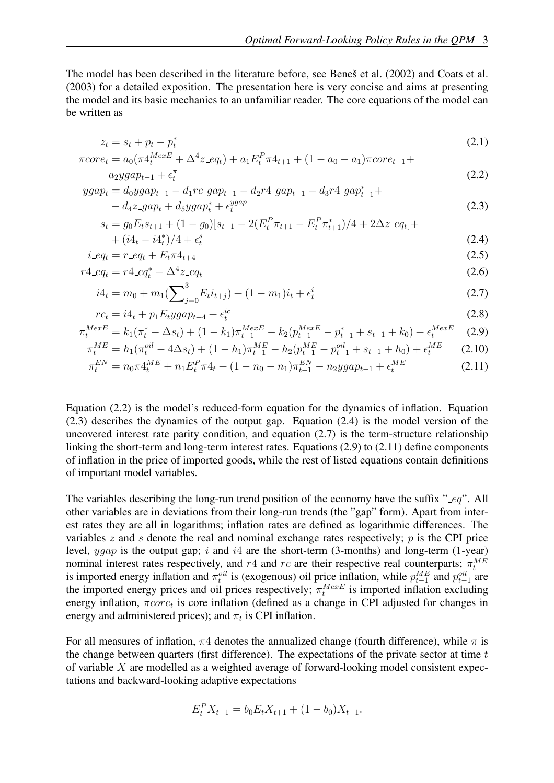The model has been described in the literature before, see Beneš et al. (2002) and Coats et al. (2003) for a detailed exposition. The presentation here is very concise and aims at presenting the model and its basic mechanics to an unfamiliar reader. The core equations of the model can be written as

$$
z_t = s_t + p_t - p_t^* \tag{2.1}
$$

$$
\pi core_t = a_0(\pi 4_t^{MexE} + \Delta^4 z \cdot eq_t) + a_1 E_t^P \pi 4_{t+1} + (1 - a_0 - a_1) \pi core_{t-1} + a_2 ygap_{t-1} + \epsilon_t^{\pi}
$$
\n(2.2)

$$
ygap_t = d_0 y gap_{t-1} - d_1 rc\_gap_{t-1} - d_2 r4\_gap_{t-1} - d_3 r4\_gap_{t-1}^* +
$$
  
- 
$$
d_4 z\_gap_t + d_5 y gap_t^* + \epsilon_t^{ygap}
$$
 (2.3)

$$
s_t = g_0 E_t s_{t+1} + (1 - g_0)[s_{t-1} - 2(E_t^P \pi_{t+1} - E_t^P \pi_{t+1}^*)/4 + 2\Delta z \cdot eq_t] +
$$
  
+ 
$$
(i4_t - i4_t^*)/4 + \epsilon_t^s
$$
 (2.4)

$$
i_{-}eq_{t} = r_{-}eq_{t} + E_{t}\pi 4_{t+4}
$$
\n(2.5)

$$
r4_{\rm -}eq_t = r4_{\rm -}eq_t^* - \Delta^4 z_{\rm -}eq_t \tag{2.6}
$$

$$
i4_t = m_0 + m_1 \left(\sum_{j=0}^3 E_t i_{t+j}\right) + (1 - m_1)i_t + \epsilon_t^i
$$
\n(2.7)

$$
rc_t = i4_t + p_1 E_t y gap_{t+4} + \epsilon_t^{ic}
$$
\n
$$
(2.8)
$$

$$
\pi_t^{MexE} = k_1(\pi_t^* - \Delta s_t) + (1 - k_1)\pi_{t-1}^{MexE} - k_2(p_{t-1}^{MexE} - p_{t-1}^* + s_{t-1} + k_0) + \epsilon_t^{MexE}
$$
(2.9)

$$
\pi_t^{ME} = h_1(\pi_t^{oil} - 4\Delta s_t) + (1 - h_1)\pi_{t-1}^{ME} - h_2(p_{t-1}^{ME} - p_{t-1}^{oil} + s_{t-1} + h_0) + \epsilon_t^{ME} \tag{2.10}
$$

$$
\pi_t^{EN} = n_0 \pi 4_t^{ME} + n_1 E_t^P \pi 4_t + (1 - n_0 - n_1) \pi_{t-1}^{EN} - n_2 y g a p_{t-1} + \epsilon_t^{ME}
$$
\n(2.11)

Equation (2.2) is the model's reduced-form equation for the dynamics of inflation. Equation (2.3) describes the dynamics of the output gap. Equation (2.4) is the model version of the uncovered interest rate parity condition, and equation  $(2.7)$  is the term-structure relationship linking the short-term and long-term interest rates. Equations (2.9) to (2.11) define components of inflation in the price of imported goods, while the rest of listed equations contain definitions of important model variables.

The variables describing the long-run trend position of the economy have the suffix "  $eq$ ". All other variables are in deviations from their long-run trends (the "gap" form). Apart from interest rates they are all in logarithms; inflation rates are defined as logarithmic differences. The variables z and s denote the real and nominal exchange rates respectively;  $p$  is the CPI price level,  $ygap$  is the output gap; i and i4 are the short-term (3-months) and long-term (1-year) nominal interest rates respectively, and r4 and rc are their respective real counterparts;  $\pi_t^{ME}$ is imported energy inflation and  $\pi_t^{oil}$  is (exogenous) oil price inflation, while  $p_{t-1}^{ME}$  and  $p_{t-1}^{oil}$  are the imported energy prices and oil prices respectively;  $\pi_t^{MexE}$  is imported inflation excluding energy inflation,  $\pi core_t$  is core inflation (defined as a change in CPI adjusted for changes in energy and administered prices); and  $\pi_t$  is CPI inflation.

For all measures of inflation,  $\pi$ 4 denotes the annualized change (fourth difference), while  $\pi$  is the change between quarters (first difference). The expectations of the private sector at time  $t$ of variable  $X$  are modelled as a weighted average of forward-looking model consistent expectations and backward-looking adaptive expectations

$$
E_t^P X_{t+1} = b_0 E_t X_{t+1} + (1 - b_0) X_{t-1}.
$$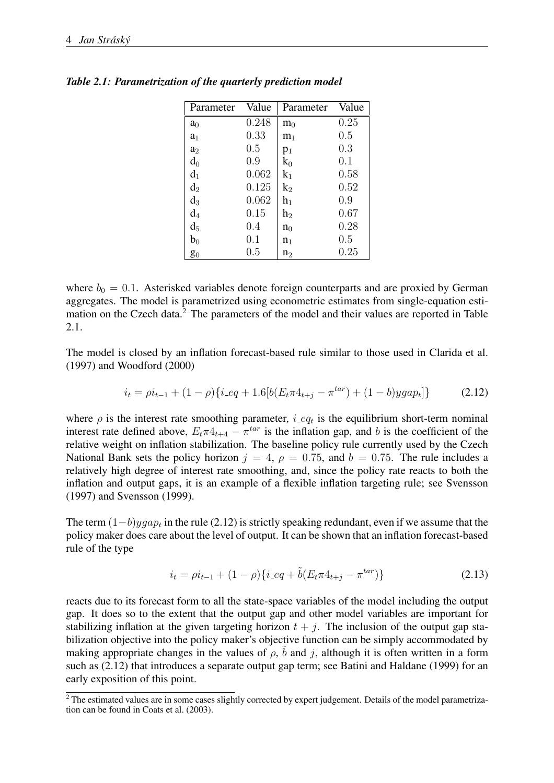| Parameter      | Value   | Parameter      | Value |
|----------------|---------|----------------|-------|
| a <sub>0</sub> | 0.248   | m <sub>0</sub> | 0.25  |
| a <sub>1</sub> | 0.33    | m <sub>1</sub> | 0.5   |
| a <sub>2</sub> | $0.5\,$ | $p_1$          | 0.3   |
| $d_0$          | 0.9     | $\rm{k_0}$     | 0.1   |
| $d_1$          | 0.062   | $k_1$          | 0.58  |
| $\mathrm{d}_2$ | 0.125   | k <sub>2</sub> | 0.52  |
| $\mathrm{d}_3$ | 0.062   | $h_1$          | 0.9   |
| $\mathrm{d}_4$ | 0.15    | $\rm h_2$      | 0.67  |
| $d_5$          | 0.4     | $n_0$          | 0.28  |
| $b_0$          | 0.1     | n <sub>1</sub> | 0.5   |
| $\mathbf{g}_0$ | $0.5\,$ | n <sub>2</sub> | 0.25  |

*Table 2.1: Parametrization of the quarterly prediction model*

where  $b_0 = 0.1$ . Asterisked variables denote foreign counterparts and are proxied by German aggregates. The model is parametrized using econometric estimates from single-equation estimation on the Czech data.<sup>2</sup> The parameters of the model and their values are reported in Table 2.1.

The model is closed by an inflation forecast-based rule similar to those used in Clarida et al. (1997) and Woodford (2000)

$$
i_t = \rho i_{t-1} + (1 - \rho) \{ i \_{eq} + 1.6 \left[ b \left( E_t \pi 4_{t+j} - \pi^{tar} \right) + (1 - b) y g a p_t \right] \} \tag{2.12}
$$

where  $\rho$  is the interest rate smoothing parameter, *i* eq<sub>t</sub> is the equilibrium short-term nominal interest rate defined above,  $E_t \pi 4_{t+4} - \pi^{tar}$  is the inflation gap, and b is the coefficient of the relative weight on inflation stabilization. The baseline policy rule currently used by the Czech National Bank sets the policy horizon  $j = 4$ ,  $\rho = 0.75$ , and  $b = 0.75$ . The rule includes a relatively high degree of interest rate smoothing, and, since the policy rate reacts to both the inflation and output gaps, it is an example of a flexible inflation targeting rule; see Svensson (1997) and Svensson (1999).

The term  $(1-b)ygap_t$  in the rule (2.12) is strictly speaking redundant, even if we assume that the policy maker does care about the level of output. It can be shown that an inflation forecast-based rule of the type

$$
i_t = \rho i_{t-1} + (1 - \rho) \{ i \_{eq} + \tilde{b} (E_t \pi 4_{t+j} - \pi^{tar}) \}
$$
\n(2.13)

reacts due to its forecast form to all the state-space variables of the model including the output gap. It does so to the extent that the output gap and other model variables are important for stabilizing inflation at the given targeting horizon  $t + j$ . The inclusion of the output gap stabilization objective into the policy maker's objective function can be simply accommodated by making appropriate changes in the values of  $\rho$ ,  $\tilde{b}$  and j, although it is often written in a form such as (2.12) that introduces a separate output gap term; see Batini and Haldane (1999) for an early exposition of this point.

<sup>&</sup>lt;sup>2</sup> The estimated values are in some cases slightly corrected by expert judgement. Details of the model parametrization can be found in Coats et al. (2003).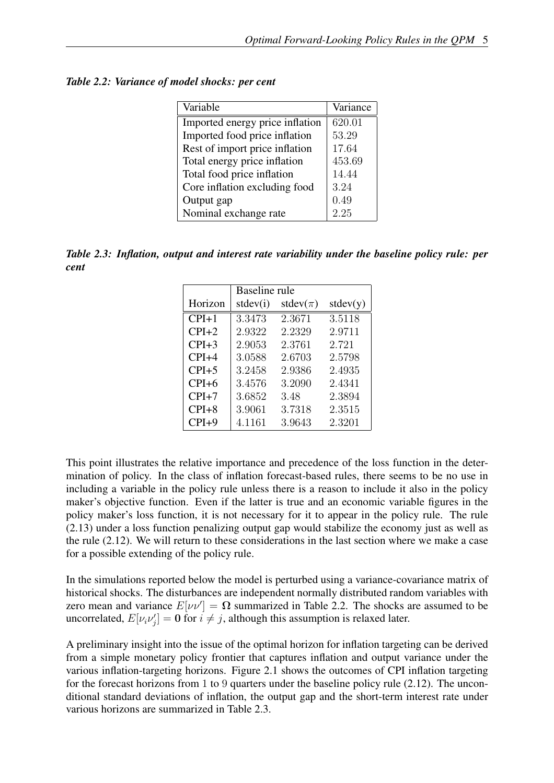| Variable                        | Variance |
|---------------------------------|----------|
| Imported energy price inflation | 620.01   |
| Imported food price inflation   | 53.29    |
| Rest of import price inflation  | 17.64    |
| Total energy price inflation    | 453.69   |
| Total food price inflation      | 14.44    |
| Core inflation excluding food   | 3.24     |
| Output gap                      | 0.49     |
| Nominal exchange rate           | 2.25     |

*Table 2.2: Variance of model shocks: per cent*

*Table 2.3: Inflation, output and interest rate variability under the baseline policy rule: per cent*

|         | Baseline rule |                |          |
|---------|---------------|----------------|----------|
| Horizon | stdev(i)      | stdev( $\pi$ ) | stdev(y) |
| $CPI+1$ | 3.3473        | 2.3671         | 3.5118   |
| $CPI+2$ | 2.9322        | 2.2329         | 2.9711   |
| $CPI+3$ | 2.9053        | 2.3761         | 2.721    |
| $CPI+4$ | 3.0588        | 2.6703         | 2.5798   |
| $CPI+5$ | 3.2458        | 2.9386         | 2.4935   |
| $CPI+6$ | 3.4576        | 3.2090         | 2.4341   |
| $CPI+7$ | 3.6852        | 3.48           | 2.3894   |
| $CPI+8$ | 3.9061        | 3.7318         | 2.3515   |
| $CPI+9$ | 4.1161        | 3.9643         | 2.3201   |

This point illustrates the relative importance and precedence of the loss function in the determination of policy. In the class of inflation forecast-based rules, there seems to be no use in including a variable in the policy rule unless there is a reason to include it also in the policy maker's objective function. Even if the latter is true and an economic variable figures in the policy maker's loss function, it is not necessary for it to appear in the policy rule. The rule (2.13) under a loss function penalizing output gap would stabilize the economy just as well as the rule (2.12). We will return to these considerations in the last section where we make a case for a possible extending of the policy rule.

In the simulations reported below the model is perturbed using a variance-covariance matrix of historical shocks. The disturbances are independent normally distributed random variables with zero mean and variance  $E[\nu\nu'] = \Omega$  summarized in Table 2.2. The shocks are assumed to be uncorrelated,  $E[\nu_i \nu'_j] = \mathbf{0}$  for  $i \neq j$ , although this assumption is relaxed later.

A preliminary insight into the issue of the optimal horizon for inflation targeting can be derived from a simple monetary policy frontier that captures inflation and output variance under the various inflation-targeting horizons. Figure 2.1 shows the outcomes of CPI inflation targeting for the forecast horizons from 1 to 9 quarters under the baseline policy rule (2.12). The unconditional standard deviations of inflation, the output gap and the short-term interest rate under various horizons are summarized in Table 2.3.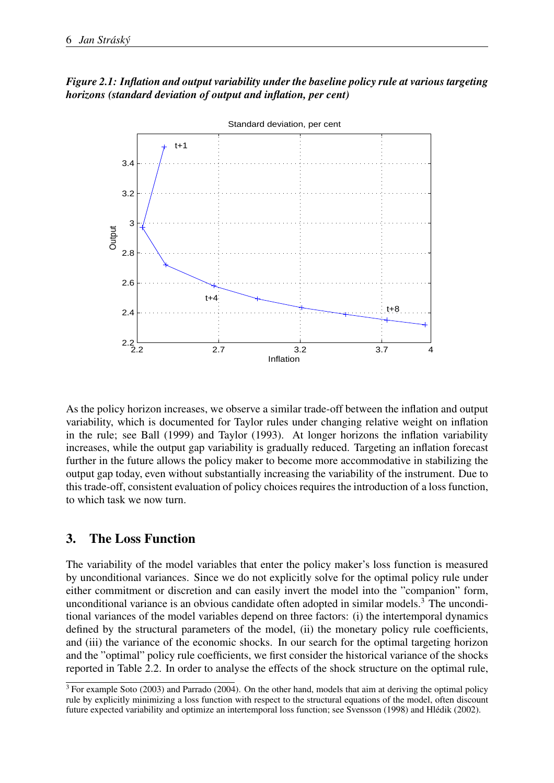



As the policy horizon increases, we observe a similar trade-off between the inflation and output variability, which is documented for Taylor rules under changing relative weight on inflation in the rule; see Ball (1999) and Taylor (1993). At longer horizons the inflation variability increases, while the output gap variability is gradually reduced. Targeting an inflation forecast further in the future allows the policy maker to become more accommodative in stabilizing the output gap today, even without substantially increasing the variability of the instrument. Due to this trade-off, consistent evaluation of policy choices requires the introduction of a loss function, to which task we now turn.

# 3. The Loss Function

The variability of the model variables that enter the policy maker's loss function is measured by unconditional variances. Since we do not explicitly solve for the optimal policy rule under either commitment or discretion and can easily invert the model into the "companion" form, unconditional variance is an obvious candidate often adopted in similar models.<sup>3</sup> The unconditional variances of the model variables depend on three factors: (i) the intertemporal dynamics defined by the structural parameters of the model, (ii) the monetary policy rule coefficients, and (iii) the variance of the economic shocks. In our search for the optimal targeting horizon and the "optimal" policy rule coefficients, we first consider the historical variance of the shocks reported in Table 2.2. In order to analyse the effects of the shock structure on the optimal rule,

 $3$  For example Soto (2003) and Parrado (2004). On the other hand, models that aim at deriving the optimal policy rule by explicitly minimizing a loss function with respect to the structural equations of the model, often discount future expected variability and optimize an intertemporal loss function; see Svensson (1998) and Hlédik (2002).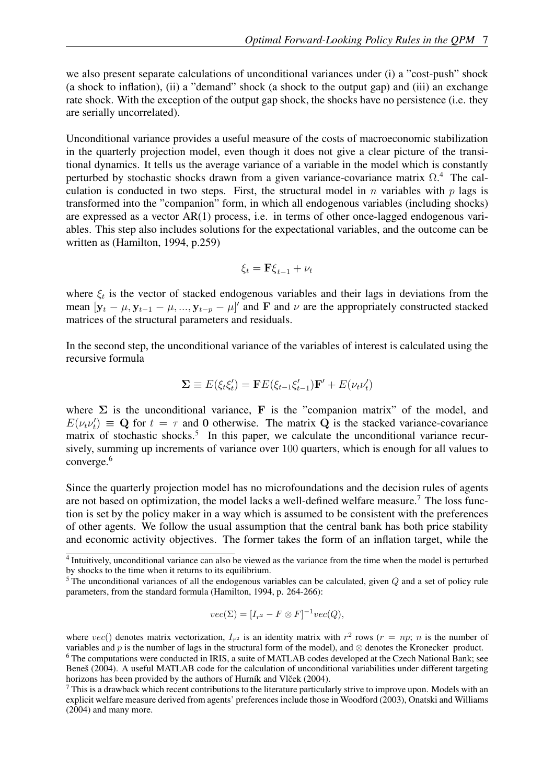we also present separate calculations of unconditional variances under (i) a "cost-push" shock (a shock to inflation), (ii) a "demand" shock (a shock to the output gap) and (iii) an exchange rate shock. With the exception of the output gap shock, the shocks have no persistence (i.e. they are serially uncorrelated).

Unconditional variance provides a useful measure of the costs of macroeconomic stabilization in the quarterly projection model, even though it does not give a clear picture of the transitional dynamics. It tells us the average variance of a variable in the model which is constantly perturbed by stochastic shocks drawn from a given variance-covariance matrix  $\Omega$ .<sup>4</sup> The calculation is conducted in two steps. First, the structural model in  $n$  variables with  $p$  lags is transformed into the "companion" form, in which all endogenous variables (including shocks) are expressed as a vector AR(1) process, i.e. in terms of other once-lagged endogenous variables. This step also includes solutions for the expectational variables, and the outcome can be written as (Hamilton, 1994, p.259)

$$
\xi_t = \mathbf{F}\xi_{t-1} + \nu_t
$$

where  $\xi_t$  is the vector of stacked endogenous variables and their lags in deviations from the mean  $[y_t - \mu, y_{t-1} - \mu, ..., y_{t-p} - \mu]'$  and F and  $\nu$  are the appropriately constructed stacked matrices of the structural parameters and residuals.

In the second step, the unconditional variance of the variables of interest is calculated using the recursive formula

$$
\Sigma \equiv E(\xi_t \xi_t') = \mathbf{F}E(\xi_{t-1}\xi_{t-1}')\mathbf{F}' + E(\nu_t \nu_t')
$$

where  $\Sigma$  is the unconditional variance, F is the "companion matrix" of the model, and  $E(\nu_t \nu_t') \equiv \mathbf{Q}$  for  $t = \tau$  and 0 otherwise. The matrix  $\mathbf{Q}$  is the stacked variance-covariance matrix of stochastic shocks.<sup>5</sup> In this paper, we calculate the unconditional variance recursively, summing up increments of variance over 100 quarters, which is enough for all values to converge.<sup>6</sup>

Since the quarterly projection model has no microfoundations and the decision rules of agents are not based on optimization, the model lacks a well-defined welfare measure.<sup>7</sup> The loss function is set by the policy maker in a way which is assumed to be consistent with the preferences of other agents. We follow the usual assumption that the central bank has both price stability and economic activity objectives. The former takes the form of an inflation target, while the

$$
vec(\Sigma) = [I_{r^2} - F \otimes F]^{-1} vec(Q),
$$

<sup>&</sup>lt;sup>4</sup> Intuitively, unconditional variance can also be viewed as the variance from the time when the model is perturbed by shocks to the time when it returns to its equilibrium.

 $5$  The unconditional variances of all the endogenous variables can be calculated, given  $Q$  and a set of policy rule parameters, from the standard formula (Hamilton, 1994, p. 264-266):

where  $vec()$  denotes matrix vectorization,  $I_{r^2}$  is an identity matrix with  $r^2$  rows  $(r = np; n$  is the number of variables and p is the number of lags in the structural form of the model), and  $\otimes$  denotes the Kronecker product. <sup>6</sup> The computations were conducted in IRIS, a suite of MATLAB codes developed at the Czech National Bank; see Benes (2004). A useful MATLAB code for the calculation of unconditional variabilities under different targeting horizons has been provided by the authors of Hurník and Vlček (2004).

 $^7$  This is a drawback which recent contributions to the literature particularly strive to improve upon. Models with an explicit welfare measure derived from agents' preferences include those in Woodford (2003), Onatski and Williams (2004) and many more.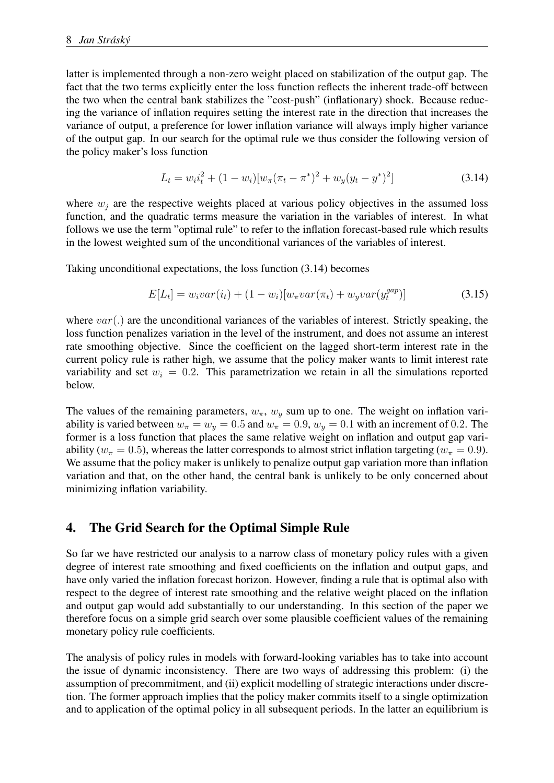latter is implemented through a non-zero weight placed on stabilization of the output gap. The fact that the two terms explicitly enter the loss function reflects the inherent trade-off between the two when the central bank stabilizes the "cost-push" (inflationary) shock. Because reducing the variance of inflation requires setting the interest rate in the direction that increases the variance of output, a preference for lower inflation variance will always imply higher variance of the output gap. In our search for the optimal rule we thus consider the following version of the policy maker's loss function

$$
L_t = w_i i_t^2 + (1 - w_i) [w_\pi (\pi_t - \pi^*)^2 + w_y (y_t - y^*)^2]
$$
\n(3.14)

where  $w_i$  are the respective weights placed at various policy objectives in the assumed loss function, and the quadratic terms measure the variation in the variables of interest. In what follows we use the term "optimal rule" to refer to the inflation forecast-based rule which results in the lowest weighted sum of the unconditional variances of the variables of interest.

Taking unconditional expectations, the loss function (3.14) becomes

$$
E[L_t] = w_i var(i_t) + (1 - w_i)[w_{\pi} var(\pi_t) + w_y var(y_t^{gap})]
$$
\n(3.15)

where  $var(.)$  are the unconditional variances of the variables of interest. Strictly speaking, the loss function penalizes variation in the level of the instrument, and does not assume an interest rate smoothing objective. Since the coefficient on the lagged short-term interest rate in the current policy rule is rather high, we assume that the policy maker wants to limit interest rate variability and set  $w_i = 0.2$ . This parametrization we retain in all the simulations reported below.

The values of the remaining parameters,  $w_{\pi}$ ,  $w_{\eta}$  sum up to one. The weight on inflation variability is varied between  $w_{\pi} = w_y = 0.5$  and  $w_{\pi} = 0.9$ ,  $w_y = 0.1$  with an increment of 0.2. The former is a loss function that places the same relative weight on inflation and output gap variability ( $w_{\pi} = 0.5$ ), whereas the latter corresponds to almost strict inflation targeting ( $w_{\pi} = 0.9$ ). We assume that the policy maker is unlikely to penalize output gap variation more than inflation variation and that, on the other hand, the central bank is unlikely to be only concerned about minimizing inflation variability.

# 4. The Grid Search for the Optimal Simple Rule

So far we have restricted our analysis to a narrow class of monetary policy rules with a given degree of interest rate smoothing and fixed coefficients on the inflation and output gaps, and have only varied the inflation forecast horizon. However, finding a rule that is optimal also with respect to the degree of interest rate smoothing and the relative weight placed on the inflation and output gap would add substantially to our understanding. In this section of the paper we therefore focus on a simple grid search over some plausible coefficient values of the remaining monetary policy rule coefficients.

The analysis of policy rules in models with forward-looking variables has to take into account the issue of dynamic inconsistency. There are two ways of addressing this problem: (i) the assumption of precommitment, and (ii) explicit modelling of strategic interactions under discretion. The former approach implies that the policy maker commits itself to a single optimization and to application of the optimal policy in all subsequent periods. In the latter an equilibrium is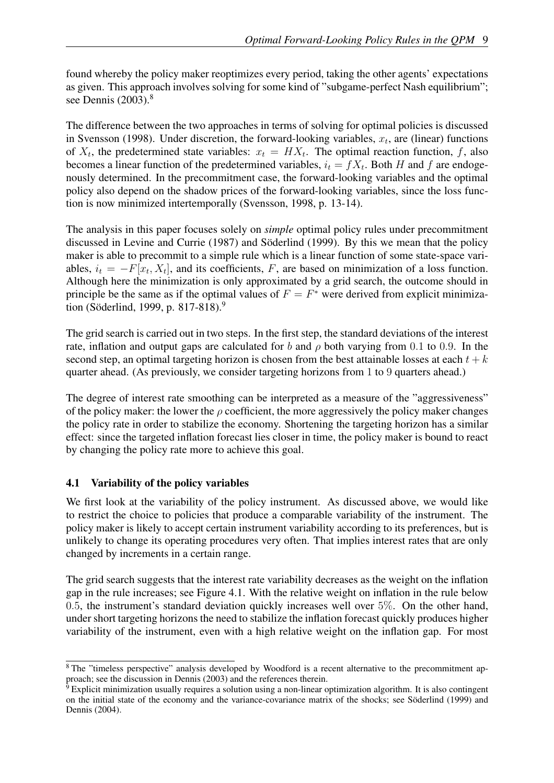found whereby the policy maker reoptimizes every period, taking the other agents' expectations as given. This approach involves solving for some kind of "subgame-perfect Nash equilibrium"; see Dennis  $(2003).<sup>8</sup>$ 

The difference between the two approaches in terms of solving for optimal policies is discussed in Svensson (1998). Under discretion, the forward-looking variables,  $x_t$ , are (linear) functions of  $X_t$ , the predetermined state variables:  $x_t = H X_t$ . The optimal reaction function, f, also becomes a linear function of the predetermined variables,  $i_t = fX_t$ . Both H and f are endogenously determined. In the precommitment case, the forward-looking variables and the optimal policy also depend on the shadow prices of the forward-looking variables, since the loss function is now minimized intertemporally (Svensson, 1998, p. 13-14).

The analysis in this paper focuses solely on *simple* optimal policy rules under precommitment discussed in Levine and Currie (1987) and Söderlind (1999). By this we mean that the policy maker is able to precommit to a simple rule which is a linear function of some state-space variables,  $i_t = -F[x_t, X_t]$ , and its coefficients, F, are based on minimization of a loss function. Although here the minimization is only approximated by a grid search, the outcome should in principle be the same as if the optimal values of  $F = F^*$  were derived from explicit minimization (Söderlind, 1999, p. 817-818).<sup>9</sup>

The grid search is carried out in two steps. In the first step, the standard deviations of the interest rate, inflation and output gaps are calculated for b and  $\rho$  both varying from 0.1 to 0.9. In the second step, an optimal targeting horizon is chosen from the best attainable losses at each  $t + k$ quarter ahead. (As previously, we consider targeting horizons from 1 to 9 quarters ahead.)

The degree of interest rate smoothing can be interpreted as a measure of the "aggressiveness" of the policy maker: the lower the  $\rho$  coefficient, the more aggressively the policy maker changes the policy rate in order to stabilize the economy. Shortening the targeting horizon has a similar effect: since the targeted inflation forecast lies closer in time, the policy maker is bound to react by changing the policy rate more to achieve this goal.

## 4.1 Variability of the policy variables

We first look at the variability of the policy instrument. As discussed above, we would like to restrict the choice to policies that produce a comparable variability of the instrument. The policy maker is likely to accept certain instrument variability according to its preferences, but is unlikely to change its operating procedures very often. That implies interest rates that are only changed by increments in a certain range.

The grid search suggests that the interest rate variability decreases as the weight on the inflation gap in the rule increases; see Figure 4.1. With the relative weight on inflation in the rule below 0.5, the instrument's standard deviation quickly increases well over 5%. On the other hand, under short targeting horizons the need to stabilize the inflation forecast quickly produces higher variability of the instrument, even with a high relative weight on the inflation gap. For most

<sup>&</sup>lt;sup>8</sup> The "timeless perspective" analysis developed by Woodford is a recent alternative to the precommitment approach; see the discussion in Dennis (2003) and the references therein.

 $\overline{9}$  Explicit minimization usually requires a solution using a non-linear optimization algorithm. It is also contingent on the initial state of the economy and the variance-covariance matrix of the shocks; see Söderlind (1999) and Dennis (2004).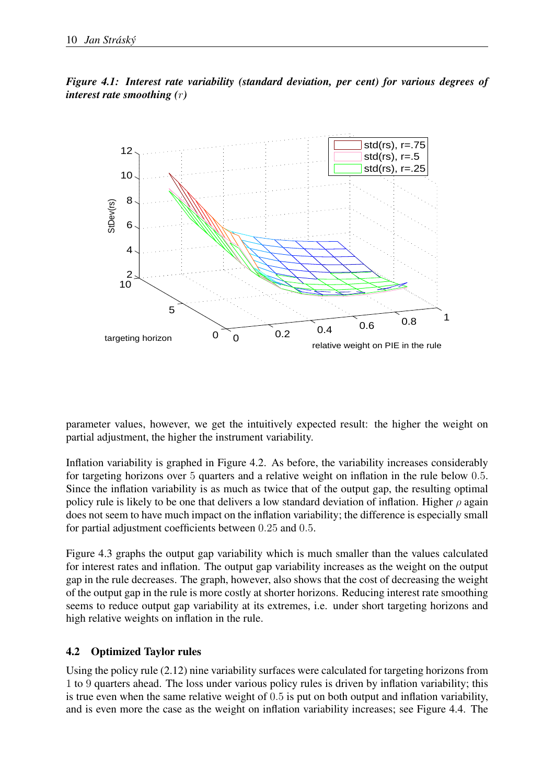*Figure 4.1: Interest rate variability (standard deviation, per cent) for various degrees of interest rate smoothing (*r*)*



parameter values, however, we get the intuitively expected result: the higher the weight on partial adjustment, the higher the instrument variability.

Inflation variability is graphed in Figure 4.2. As before, the variability increases considerably for targeting horizons over 5 quarters and a relative weight on inflation in the rule below 0.5. Since the inflation variability is as much as twice that of the output gap, the resulting optimal policy rule is likely to be one that delivers a low standard deviation of inflation. Higher  $\rho$  again does not seem to have much impact on the inflation variability; the difference is especially small for partial adjustment coefficients between 0.25 and 0.5.

Figure 4.3 graphs the output gap variability which is much smaller than the values calculated for interest rates and inflation. The output gap variability increases as the weight on the output gap in the rule decreases. The graph, however, also shows that the cost of decreasing the weight of the output gap in the rule is more costly at shorter horizons. Reducing interest rate smoothing seems to reduce output gap variability at its extremes, i.e. under short targeting horizons and high relative weights on inflation in the rule.

# 4.2 Optimized Taylor rules

Using the policy rule (2.12) nine variability surfaces were calculated for targeting horizons from 1 to 9 quarters ahead. The loss under various policy rules is driven by inflation variability; this is true even when the same relative weight of 0.5 is put on both output and inflation variability, and is even more the case as the weight on inflation variability increases; see Figure 4.4. The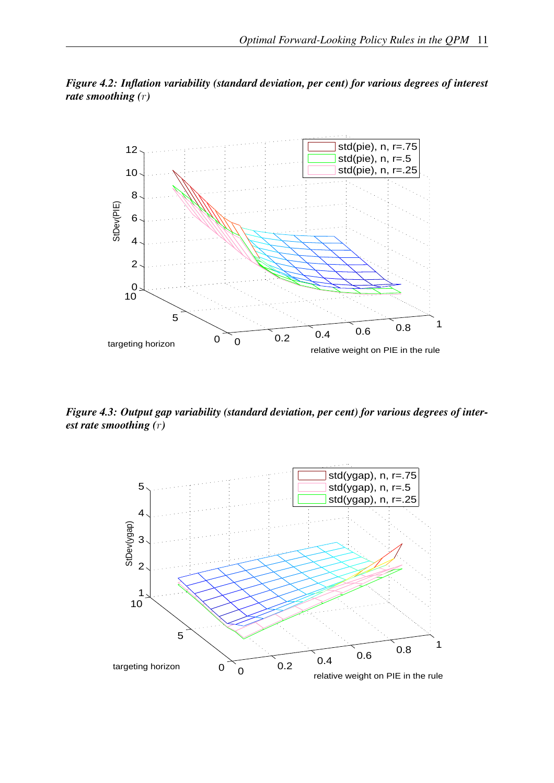



*Figure 4.3: Output gap variability (standard deviation, per cent) for various degrees of interest rate smoothing (*r*)*

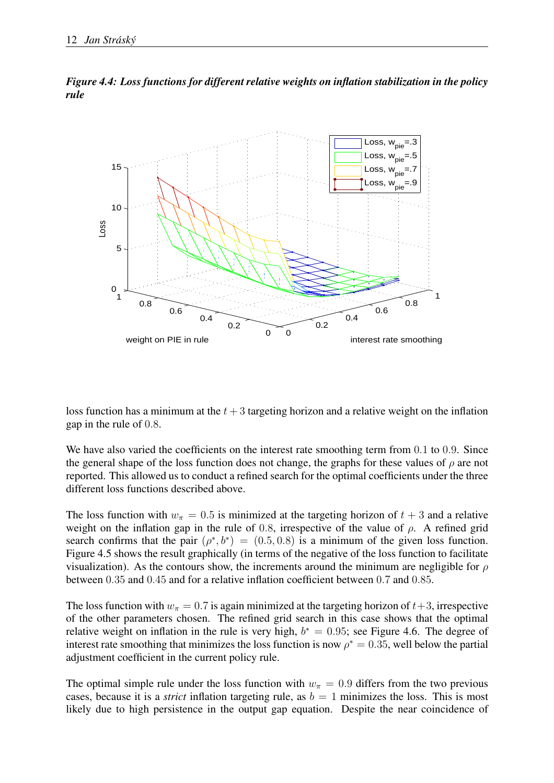



loss function has a minimum at the  $t + 3$  targeting horizon and a relative weight on the inflation gap in the rule of 0.8.

We have also varied the coefficients on the interest rate smoothing term from 0.1 to 0.9. Since the general shape of the loss function does not change, the graphs for these values of  $\rho$  are not reported. This allowed us to conduct a refined search for the optimal coefficients under the three different loss functions described above.

The loss function with  $w_{\pi} = 0.5$  is minimized at the targeting horizon of  $t + 3$  and a relative weight on the inflation gap in the rule of 0.8, irrespective of the value of  $\rho$ . A refined grid search confirms that the pair  $(\rho^*, b^*) = (0.5, 0.8)$  is a minimum of the given loss function. Figure 4.5 shows the result graphically (in terms of the negative of the loss function to facilitate visualization). As the contours show, the increments around the minimum are negligible for  $\rho$ between 0.35 and 0.45 and for a relative inflation coefficient between 0.7 and 0.85.

The loss function with  $w_{\pi} = 0.7$  is again minimized at the targeting horizon of  $t + 3$ , irrespective of the other parameters chosen. The refined grid search in this case shows that the optimal relative weight on inflation in the rule is very high,  $b^* = 0.95$ ; see Figure 4.6. The degree of interest rate smoothing that minimizes the loss function is now  $\rho^* = 0.35$ , well below the partial adjustment coefficient in the current policy rule.

The optimal simple rule under the loss function with  $w_\pi = 0.9$  differs from the two previous cases, because it is a *strict* inflation targeting rule, as  $b = 1$  minimizes the loss. This is most likely due to high persistence in the output gap equation. Despite the near coincidence of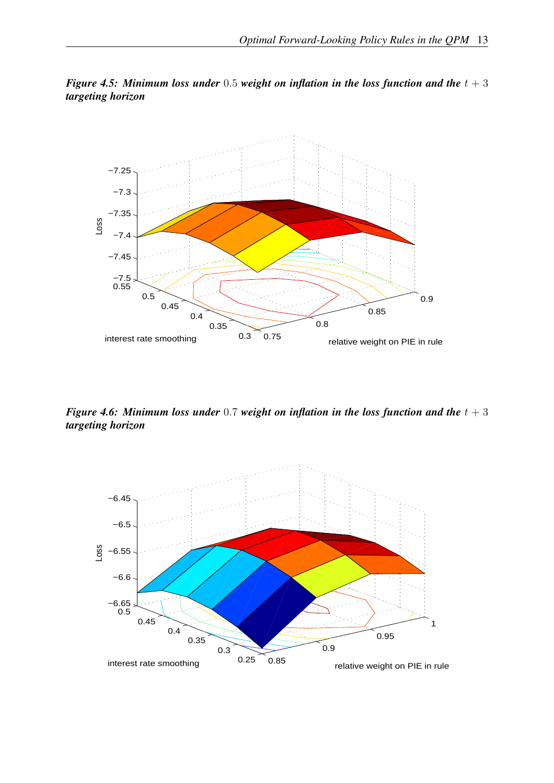

*Figure 4.5: Minimum loss under* 0.5 *weight on inflation in the loss function and the*  $t + 3$ *targeting horizon*

*Figure 4.6: Minimum loss under* 0.7 *weight on inflation in the loss function and the*  $t + 3$ *targeting horizon*

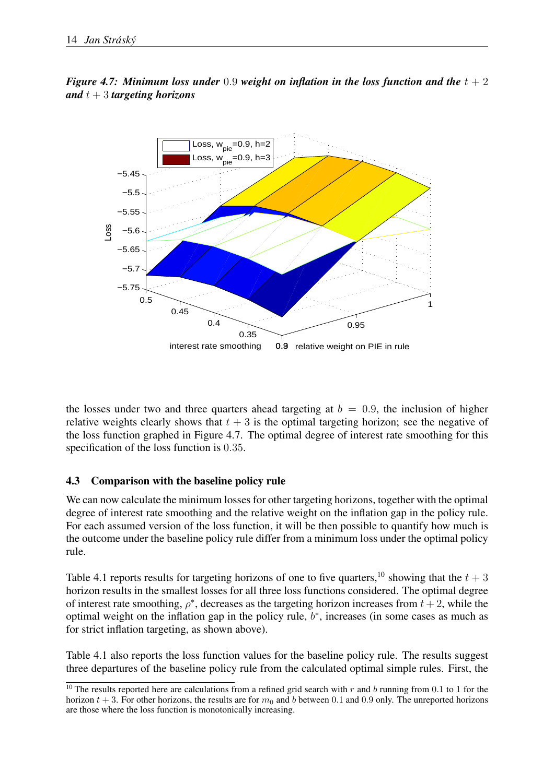



the losses under two and three quarters ahead targeting at  $b = 0.9$ , the inclusion of higher relative weights clearly shows that  $t + 3$  is the optimal targeting horizon; see the negative of the loss function graphed in Figure 4.7. The optimal degree of interest rate smoothing for this specification of the loss function is 0.35.

#### 4.3 Comparison with the baseline policy rule

We can now calculate the minimum losses for other targeting horizons, together with the optimal degree of interest rate smoothing and the relative weight on the inflation gap in the policy rule. For each assumed version of the loss function, it will be then possible to quantify how much is the outcome under the baseline policy rule differ from a minimum loss under the optimal policy rule.

Table 4.1 reports results for targeting horizons of one to five quarters,<sup>10</sup> showing that the  $t + 3$ horizon results in the smallest losses for all three loss functions considered. The optimal degree of interest rate smoothing,  $\rho^*$ , decreases as the targeting horizon increases from  $t + 2$ , while the optimal weight on the inflation gap in the policy rule,  $b^*$ , increases (in some cases as much as for strict inflation targeting, as shown above).

Table 4.1 also reports the loss function values for the baseline policy rule. The results suggest three departures of the baseline policy rule from the calculated optimal simple rules. First, the

<sup>&</sup>lt;sup>10</sup> The results reported here are calculations from a refined grid search with r and b running from 0.1 to 1 for the horizon  $t + 3$ . For other horizons, the results are for  $m_0$  and b between 0.1 and 0.9 only. The unreported horizons are those where the loss function is monotonically increasing.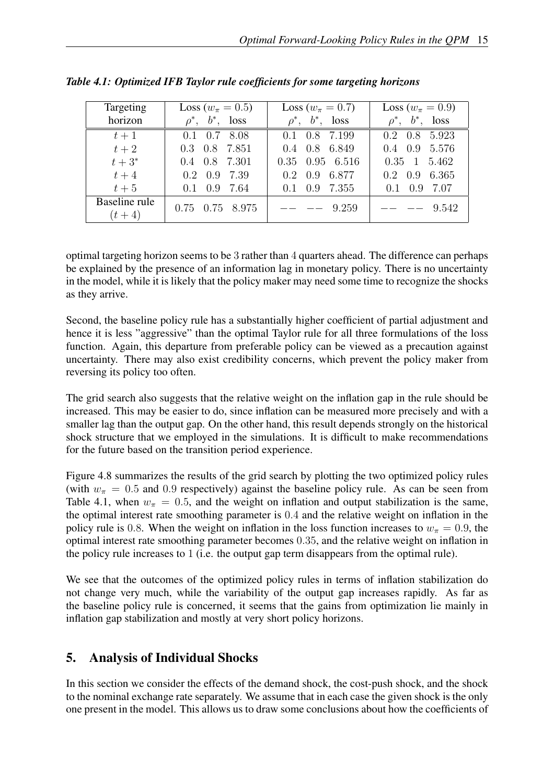| Targeting<br>horizon       | Loss ( $w_{\pi} = 0.5$ )<br>$\rho^*, b^*, \text{loss}$ | Loss ( $w_{\pi} = 0.7$ )<br>$\rho^*, b^*, \text{loss}$ | Loss ( $w_{\pi} = 0.9$ )<br>$\rho^*, b^*, \text{loss}$ |
|----------------------------|--------------------------------------------------------|--------------------------------------------------------|--------------------------------------------------------|
| $t+1$                      | $0.1$ $0.7$ $8.08$                                     | $0.1$ $0.8$ 7.199                                      | $0.2 \quad 0.8 \quad 5.923$                            |
| $t+2$                      | $0.3$ $0.8$ $7.851$                                    | $0.4$ 0.8 6.849                                        | $0.4$ 0.9 5.576                                        |
| $t+3^*$                    | $0.4$ $0.8$ 7.301                                      | $0.35$ $0.95$ $6.516$                                  | $0.35 \quad 1 \quad 5.462$                             |
| $t+4$                      | $0.2 \quad 0.9 \quad 7.39$                             | $0.2\quad 0.9\quad 6.877$                              | $0.2 \quad 0.9 \quad 6.365$                            |
| $t+5$                      | $0.1$ 0.9 7.64                                         | $0.1$ $0.9$ $7.355$                                    | $0.1 \quad 0.9 \quad 7.07$                             |
| Baseline rule<br>$(t + 4)$ | 0.75 0.75 8.975                                        | $--- \quad 9.259$                                      | $---$ 9.542                                            |

*Table 4.1: Optimized IFB Taylor rule coefficients for some targeting horizons*

optimal targeting horizon seems to be 3 rather than 4 quarters ahead. The difference can perhaps be explained by the presence of an information lag in monetary policy. There is no uncertainty in the model, while it is likely that the policy maker may need some time to recognize the shocks as they arrive.

Second, the baseline policy rule has a substantially higher coefficient of partial adjustment and hence it is less "aggressive" than the optimal Taylor rule for all three formulations of the loss function. Again, this departure from preferable policy can be viewed as a precaution against uncertainty. There may also exist credibility concerns, which prevent the policy maker from reversing its policy too often.

The grid search also suggests that the relative weight on the inflation gap in the rule should be increased. This may be easier to do, since inflation can be measured more precisely and with a smaller lag than the output gap. On the other hand, this result depends strongly on the historical shock structure that we employed in the simulations. It is difficult to make recommendations for the future based on the transition period experience.

Figure 4.8 summarizes the results of the grid search by plotting the two optimized policy rules (with  $w_{\pi} = 0.5$  and 0.9 respectively) against the baseline policy rule. As can be seen from Table 4.1, when  $w_{\pi} = 0.5$ , and the weight on inflation and output stabilization is the same, the optimal interest rate smoothing parameter is 0.4 and the relative weight on inflation in the policy rule is 0.8. When the weight on inflation in the loss function increases to  $w_\pi = 0.9$ , the optimal interest rate smoothing parameter becomes 0.35, and the relative weight on inflation in the policy rule increases to 1 (i.e. the output gap term disappears from the optimal rule).

We see that the outcomes of the optimized policy rules in terms of inflation stabilization do not change very much, while the variability of the output gap increases rapidly. As far as the baseline policy rule is concerned, it seems that the gains from optimization lie mainly in inflation gap stabilization and mostly at very short policy horizons.

# 5. Analysis of Individual Shocks

In this section we consider the effects of the demand shock, the cost-push shock, and the shock to the nominal exchange rate separately. We assume that in each case the given shock is the only one present in the model. This allows us to draw some conclusions about how the coefficients of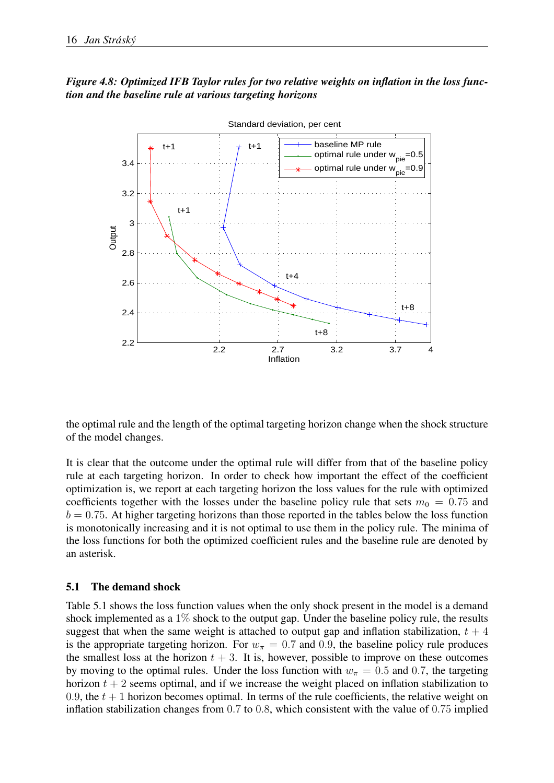## *Figure 4.8: Optimized IFB Taylor rules for two relative weights on inflation in the loss function and the baseline rule at various targeting horizons*



the optimal rule and the length of the optimal targeting horizon change when the shock structure of the model changes.

It is clear that the outcome under the optimal rule will differ from that of the baseline policy rule at each targeting horizon. In order to check how important the effect of the coefficient optimization is, we report at each targeting horizon the loss values for the rule with optimized coefficients together with the losses under the baseline policy rule that sets  $m_0 = 0.75$  and  $b = 0.75$ . At higher targeting horizons than those reported in the tables below the loss function is monotonically increasing and it is not optimal to use them in the policy rule. The minima of the loss functions for both the optimized coefficient rules and the baseline rule are denoted by an asterisk.

#### 5.1 The demand shock

Table 5.1 shows the loss function values when the only shock present in the model is a demand shock implemented as a  $1\%$  shock to the output gap. Under the baseline policy rule, the results suggest that when the same weight is attached to output gap and inflation stabilization,  $t + 4$ is the appropriate targeting horizon. For  $w_{\pi} = 0.7$  and 0.9, the baseline policy rule produces the smallest loss at the horizon  $t + 3$ . It is, however, possible to improve on these outcomes by moving to the optimal rules. Under the loss function with  $w_{\pi} = 0.5$  and 0.7, the targeting horizon  $t + 2$  seems optimal, and if we increase the weight placed on inflation stabilization to 0.9, the  $t + 1$  horizon becomes optimal. In terms of the rule coefficients, the relative weight on inflation stabilization changes from 0.7 to 0.8, which consistent with the value of 0.75 implied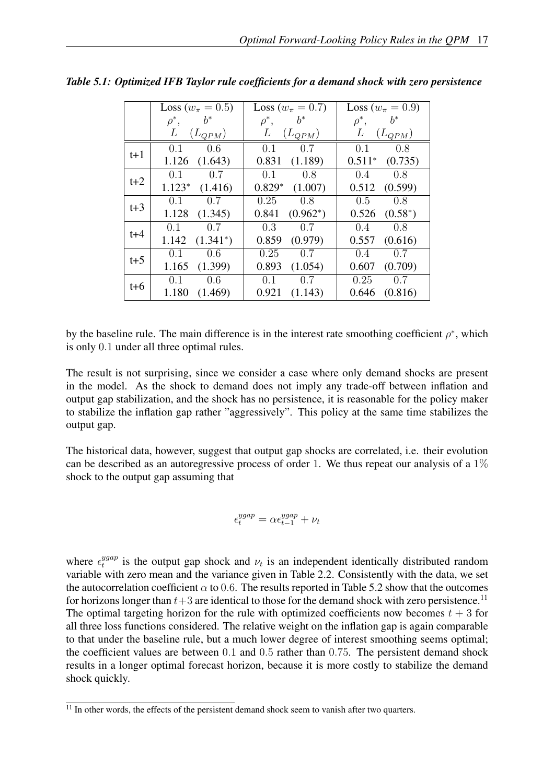|         | Loss ( $w_{\pi} = 0.5$ ) | Loss ( $w_{\pi} = 0.7$ ) | Loss ( $w_{\pi} = 0.9$ ) |
|---------|--------------------------|--------------------------|--------------------------|
|         | $b^*$<br>$\rho^*,$       | $\rho^*,$<br>$b^*$       | $\rho^*, \qquad b^*$     |
|         | L<br>$(L_{QPM})$         | L<br>$(L_{QPM})$         | L<br>$(L_{QPM})$         |
| $t+1$   | 0.1<br>0.6               | 0.1<br>0.7               | 0.1<br>0.8               |
|         | $1.126$ $(1.643)$        | 0.831<br>(1.189)         | $0.511^*$ $(0.735)$      |
| $t+2$   | 0.7<br>0.1               | 0.1<br>0.8               | $0.4\qquad 0.8$          |
|         | $1.123*$ $(1.416)$       | $0.829*$ $(1.007)$       | $0.512$ $(0.599)$        |
| $t + 3$ | 0.7<br>0.1               | $0.25 \t 0.8$            | $0.5 \t 0.8$             |
|         | $1.128$ $(1.345)$        | 0.841<br>$(0.962^*)$     | $0.526$ $(0.58^*)$       |
| $t + 4$ | $0.1 \qquad 0.7$         | $0.3 \t 0.7$             | $0.4 \qquad 0.8$         |
|         | $1.142 \quad (1.341^*)$  | 0.859<br>(0.979)         | (0.616)<br>0.557         |
| $t + 5$ | 0.1<br>0.6               | 0.25<br>0.7              | $0.4 \qquad 0.7$         |
|         | $1.165$ $(1.399)$        | 0.893<br>(1.054)         | 0.607<br>(0.709)         |
| $t+6$   | $0.1 \qquad 0.6$         | 0.1<br>0.7               | 0.25<br>0.7              |
|         | 1.180<br>(1.469)         | 0.921<br>(1.143)         | 0.646<br>(0.816)         |

*Table 5.1: Optimized IFB Taylor rule coefficients for a demand shock with zero persistence*

by the baseline rule. The main difference is in the interest rate smoothing coefficient  $\rho^*$ , which is only 0.1 under all three optimal rules.

The result is not surprising, since we consider a case where only demand shocks are present in the model. As the shock to demand does not imply any trade-off between inflation and output gap stabilization, and the shock has no persistence, it is reasonable for the policy maker to stabilize the inflation gap rather "aggressively". This policy at the same time stabilizes the output gap.

The historical data, however, suggest that output gap shocks are correlated, i.e. their evolution can be described as an autoregressive process of order 1. We thus repeat our analysis of a  $1\%$ shock to the output gap assuming that

$$
\epsilon^{ygap}_t = \alpha \epsilon^{ygap}_{t-1} + \nu_t
$$

where  $\epsilon_t^{ygap}$  $t^{ygap}$  is the output gap shock and  $\nu_t$  is an independent identically distributed random variable with zero mean and the variance given in Table 2.2. Consistently with the data, we set the autocorrelation coefficient  $\alpha$  to 0.6. The results reported in Table 5.2 show that the outcomes for horizons longer than  $t+3$  are identical to those for the demand shock with zero persistence.<sup>11</sup> The optimal targeting horizon for the rule with optimized coefficients now becomes  $t + 3$  for all three loss functions considered. The relative weight on the inflation gap is again comparable to that under the baseline rule, but a much lower degree of interest smoothing seems optimal; the coefficient values are between 0.1 and 0.5 rather than 0.75. The persistent demand shock results in a longer optimal forecast horizon, because it is more costly to stabilize the demand shock quickly.

 $\frac{11}{11}$  In other words, the effects of the persistent demand shock seem to vanish after two quarters.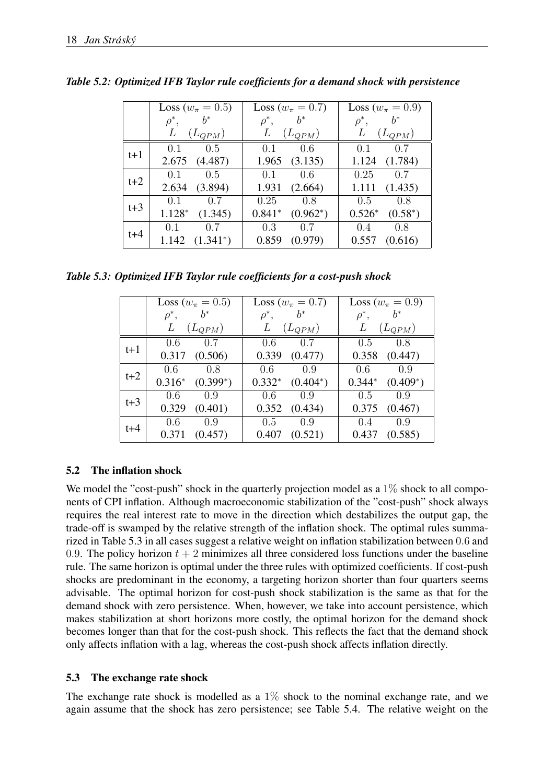|         | Loss ( $w_{\pi} = 0.5$ ) | Loss ( $w_{\pi} = 0.7$ ) | Loss ( $w_{\pi} = 0.9$ ) |
|---------|--------------------------|--------------------------|--------------------------|
|         | $b^*$<br>$\rho^*,$       | $\rho^*,$<br>$b^*$       | $b^*$<br>$\rho^*,$       |
|         | L<br>$(L_{QPM})$         | L<br>$(L_{QPM})$         | L<br>$(L_{QPM})$         |
|         | 0.5<br>0.1               | 0.1<br>0.6               | $0.1 \qquad 0.7$         |
| t+1     | 2.675 (4.487)            | 1.965<br>(3.135)         | 1.124<br>(1.784)         |
| $t+2$   | 0.5<br>0.1               | $0.1 \qquad 0.6$         | $0.25 \t 0.7$            |
|         | 2.634 (3.894)            | 1.931<br>(2.664)         | 1.111<br>(1.435)         |
| $t+3$   | 0.7<br>0.1               | $0.25 \qquad 0.8$        | 0.8<br>0.5               |
|         | $1.128*$<br>(1.345)      | $0.841*$<br>$(0.962^*)$  | $0.526*$<br>$(0.58^*)$   |
| $t + 4$ | $0.1 \qquad 0.7$         | 0.3<br>0.7               | 0.4<br>0.8               |
|         | $1.142 \quad (1.341^*)$  | 0.859<br>(0.979)         | 0.557<br>(0.616)         |

*Table 5.2: Optimized IFB Taylor rule coefficients for a demand shock with persistence*

*Table 5.3: Optimized IFB Taylor rule coefficients for a cost-push shock*

|       | Loss ( $w_{\pi} = 0.5$ ) | Loss ( $w_{\pi} = 0.7$ ) | Loss ( $w_{\pi} = 0.9$ ) |  |
|-------|--------------------------|--------------------------|--------------------------|--|
|       | $b^*$<br>$\rho^*,$       | $b^*$<br>$\rho^*,$       | $b^*$<br>$\rho^*,$       |  |
|       | L<br>$(L_{QPM})$         | L<br>$(L_{QPM})$         | L<br>$(L_{QPM})$         |  |
|       | 0.7<br>0.6               | 0.7<br>0.6               | 0.8<br>0.5               |  |
| $t+1$ | 0.317<br>(0.506)         | 0.339<br>(0.477)         | $0.358$ $(0.447)$        |  |
| $t+2$ | 0.6<br>0.8               | $0.6 \qquad 0.9$         | 0.6<br>0.9               |  |
|       | $0.316^*$ $(0.399^*)$    | $0.332^*$ $(0.404^*)$    | $0.344*$ $(0.409*)$      |  |
| $t+3$ | 0.9<br>0.6               | $0.6$ 0.9                | $0.5 \t 0.9$             |  |
|       | 0.329<br>(0.401)         | $0.352$ $(0.434)$        | $0.375$ $(0.467)$        |  |
| $t+4$ | 0.6<br>0.9               | $0.5 \t 0.9$             | $0.4 \qquad 0.9$         |  |
|       | 0.371<br>(0.457)         | (0.521)<br>0.407         | (0.585)<br>0.437         |  |

## 5.2 The inflation shock

We model the "cost-push" shock in the quarterly projection model as a  $1\%$  shock to all components of CPI inflation. Although macroeconomic stabilization of the "cost-push" shock always requires the real interest rate to move in the direction which destabilizes the output gap, the trade-off is swamped by the relative strength of the inflation shock. The optimal rules summarized in Table 5.3 in all cases suggest a relative weight on inflation stabilization between 0.6 and 0.9. The policy horizon  $t + 2$  minimizes all three considered loss functions under the baseline rule. The same horizon is optimal under the three rules with optimized coefficients. If cost-push shocks are predominant in the economy, a targeting horizon shorter than four quarters seems advisable. The optimal horizon for cost-push shock stabilization is the same as that for the demand shock with zero persistence. When, however, we take into account persistence, which makes stabilization at short horizons more costly, the optimal horizon for the demand shock becomes longer than that for the cost-push shock. This reflects the fact that the demand shock only affects inflation with a lag, whereas the cost-push shock affects inflation directly.

## 5.3 The exchange rate shock

The exchange rate shock is modelled as a  $1\%$  shock to the nominal exchange rate, and we again assume that the shock has zero persistence; see Table 5.4. The relative weight on the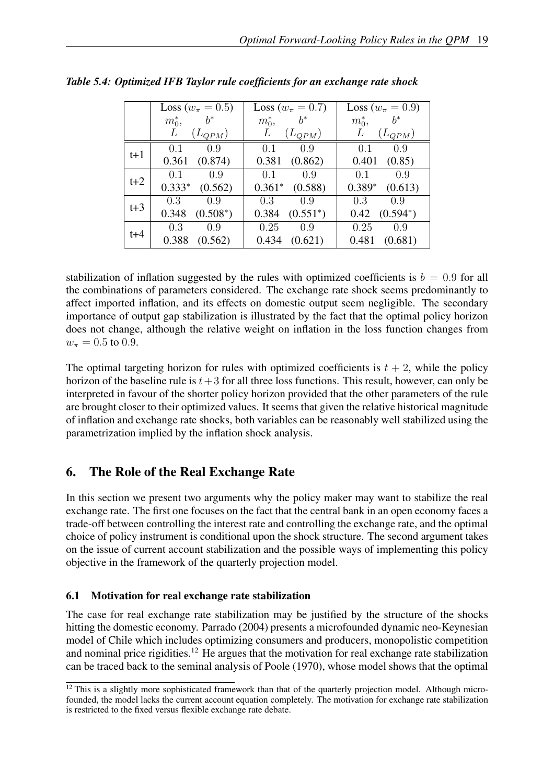|       | Loss ( $w_{\pi} = 0.5$ ) | Loss ( $w_{\pi} = 0.7$ ) | Loss ( $w_{\pi} = 0.9$ ) |
|-------|--------------------------|--------------------------|--------------------------|
|       | $b^*$                    | $b^*$                    | $b^*$                    |
|       | $m_0^*$                  | $m_0^*$                  | $m_0^*$                  |
|       | L                        | $(L_{QPM})$              | $(L_{QPM})$              |
|       | $(L_{QPM})$              | L                        | L                        |
|       | 0.9                      | 0.1                      | 0.1                      |
|       | 0.1                      | 0.9                      | 0.9                      |
| $t+1$ | 0.361                    | (0.862)                  | 0.401                    |
|       | (0.874)                  | 0.381                    | (0.85)                   |
| $t+2$ | 0.1<br>0.9               | 0.1<br>0.9               | 0.1<br>0.9               |
|       | $0.333*$<br>(0.562)      | $0.361*$<br>(0.588)      | $0.389*$<br>(0.613)      |
| $t+3$ | 0.3                      | 0.3                      | 0.3                      |
|       | 09                       | 0.9                      | 0.9                      |
|       | 0.348                    | 0.384                    | $(0.594^*)$              |
|       | $(0.508^*)$              | $(0.551^*)$              | 0.42                     |
| $t+4$ | 0.3<br>0.9               | 0.25<br>0.9              | 0.25<br>0.9              |
|       | 0.388<br>(0.562)         | (0.621)<br>0.434         | 0.481<br>(0.681)         |

*Table 5.4: Optimized IFB Taylor rule coefficients for an exchange rate shock*

stabilization of inflation suggested by the rules with optimized coefficients is  $b = 0.9$  for all the combinations of parameters considered. The exchange rate shock seems predominantly to affect imported inflation, and its effects on domestic output seem negligible. The secondary importance of output gap stabilization is illustrated by the fact that the optimal policy horizon does not change, although the relative weight on inflation in the loss function changes from  $w_{\pi} = 0.5$  to 0.9.

The optimal targeting horizon for rules with optimized coefficients is  $t + 2$ , while the policy horizon of the baseline rule is  $t+3$  for all three loss functions. This result, however, can only be interpreted in favour of the shorter policy horizon provided that the other parameters of the rule are brought closer to their optimized values. It seems that given the relative historical magnitude of inflation and exchange rate shocks, both variables can be reasonably well stabilized using the parametrization implied by the inflation shock analysis.

# 6. The Role of the Real Exchange Rate

In this section we present two arguments why the policy maker may want to stabilize the real exchange rate. The first one focuses on the fact that the central bank in an open economy faces a trade-off between controlling the interest rate and controlling the exchange rate, and the optimal choice of policy instrument is conditional upon the shock structure. The second argument takes on the issue of current account stabilization and the possible ways of implementing this policy objective in the framework of the quarterly projection model.

# 6.1 Motivation for real exchange rate stabilization

The case for real exchange rate stabilization may be justified by the structure of the shocks hitting the domestic economy. Parrado (2004) presents a microfounded dynamic neo-Keynesian model of Chile which includes optimizing consumers and producers, monopolistic competition and nominal price rigidities.<sup>12</sup> He argues that the motivation for real exchange rate stabilization can be traced back to the seminal analysis of Poole (1970), whose model shows that the optimal

 $12$  This is a slightly more sophisticated framework than that of the quarterly projection model. Although microfounded, the model lacks the current account equation completely. The motivation for exchange rate stabilization is restricted to the fixed versus flexible exchange rate debate.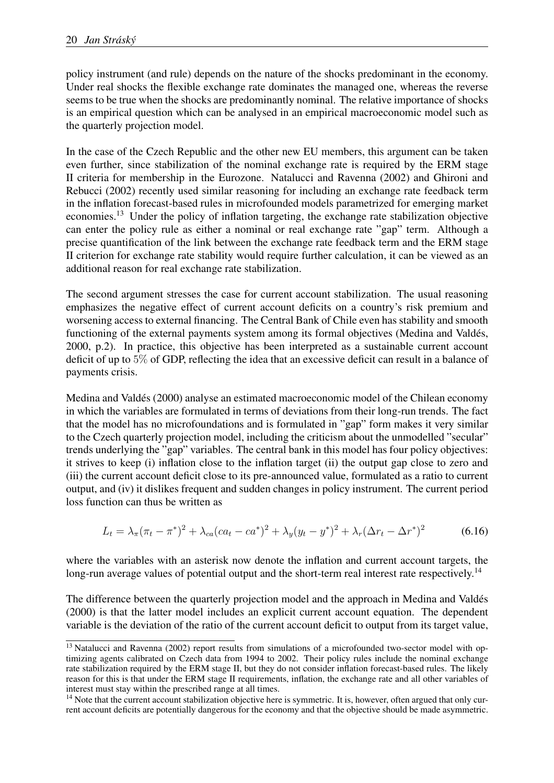policy instrument (and rule) depends on the nature of the shocks predominant in the economy. Under real shocks the flexible exchange rate dominates the managed one, whereas the reverse seems to be true when the shocks are predominantly nominal. The relative importance of shocks is an empirical question which can be analysed in an empirical macroeconomic model such as the quarterly projection model.

In the case of the Czech Republic and the other new EU members, this argument can be taken even further, since stabilization of the nominal exchange rate is required by the ERM stage II criteria for membership in the Eurozone. Natalucci and Ravenna (2002) and Ghironi and Rebucci (2002) recently used similar reasoning for including an exchange rate feedback term in the inflation forecast-based rules in microfounded models parametrized for emerging market economies.<sup>13</sup> Under the policy of inflation targeting, the exchange rate stabilization objective can enter the policy rule as either a nominal or real exchange rate "gap" term. Although a precise quantification of the link between the exchange rate feedback term and the ERM stage II criterion for exchange rate stability would require further calculation, it can be viewed as an additional reason for real exchange rate stabilization.

The second argument stresses the case for current account stabilization. The usual reasoning emphasizes the negative effect of current account deficits on a country's risk premium and worsening access to external financing. The Central Bank of Chile even has stability and smooth functioning of the external payments system among its formal objectives (Medina and Valdés, 2000, p.2). In practice, this objective has been interpreted as a sustainable current account deficit of up to 5% of GDP, reflecting the idea that an excessive deficit can result in a balance of payments crisis.

Medina and Valdés (2000) analyse an estimated macroeconomic model of the Chilean economy in which the variables are formulated in terms of deviations from their long-run trends. The fact that the model has no microfoundations and is formulated in "gap" form makes it very similar to the Czech quarterly projection model, including the criticism about the unmodelled "secular" trends underlying the "gap" variables. The central bank in this model has four policy objectives: it strives to keep (i) inflation close to the inflation target (ii) the output gap close to zero and (iii) the current account deficit close to its pre-announced value, formulated as a ratio to current output, and (iv) it dislikes frequent and sudden changes in policy instrument. The current period loss function can thus be written as

$$
L_t = \lambda_\pi (\pi_t - \pi^*)^2 + \lambda_{ca}(ca_t - ca^*)^2 + \lambda_y (y_t - y^*)^2 + \lambda_r (\Delta r_t - \Delta r^*)^2
$$
(6.16)

where the variables with an asterisk now denote the inflation and current account targets, the long-run average values of potential output and the short-term real interest rate respectively.<sup>14</sup>

The difference between the quarterly projection model and the approach in Medina and Valdes´ (2000) is that the latter model includes an explicit current account equation. The dependent variable is the deviation of the ratio of the current account deficit to output from its target value,

<sup>&</sup>lt;sup>13</sup> Natalucci and Ravenna (2002) report results from simulations of a microfounded two-sector model with optimizing agents calibrated on Czech data from 1994 to 2002. Their policy rules include the nominal exchange rate stabilization required by the ERM stage II, but they do not consider inflation forecast-based rules. The likely reason for this is that under the ERM stage II requirements, inflation, the exchange rate and all other variables of interest must stay within the prescribed range at all times.

 $14$  Note that the current account stabilization objective here is symmetric. It is, however, often argued that only current account deficits are potentially dangerous for the economy and that the objective should be made asymmetric.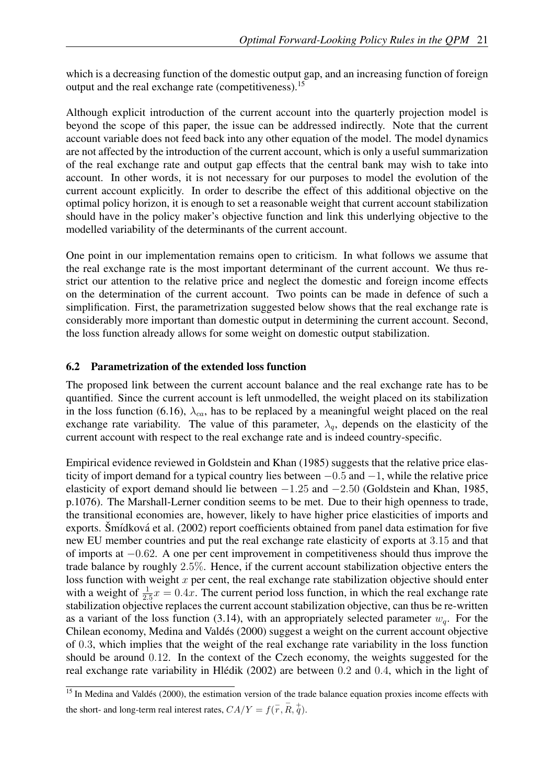which is a decreasing function of the domestic output gap, and an increasing function of foreign output and the real exchange rate (competitiveness).<sup>15</sup>

Although explicit introduction of the current account into the quarterly projection model is beyond the scope of this paper, the issue can be addressed indirectly. Note that the current account variable does not feed back into any other equation of the model. The model dynamics are not affected by the introduction of the current account, which is only a useful summarization of the real exchange rate and output gap effects that the central bank may wish to take into account. In other words, it is not necessary for our purposes to model the evolution of the current account explicitly. In order to describe the effect of this additional objective on the optimal policy horizon, it is enough to set a reasonable weight that current account stabilization should have in the policy maker's objective function and link this underlying objective to the modelled variability of the determinants of the current account.

One point in our implementation remains open to criticism. In what follows we assume that the real exchange rate is the most important determinant of the current account. We thus restrict our attention to the relative price and neglect the domestic and foreign income effects on the determination of the current account. Two points can be made in defence of such a simplification. First, the parametrization suggested below shows that the real exchange rate is considerably more important than domestic output in determining the current account. Second, the loss function already allows for some weight on domestic output stabilization.

#### 6.2 Parametrization of the extended loss function

The proposed link between the current account balance and the real exchange rate has to be quantified. Since the current account is left unmodelled, the weight placed on its stabilization in the loss function (6.16),  $\lambda_{ca}$ , has to be replaced by a meaningful weight placed on the real exchange rate variability. The value of this parameter,  $\lambda_a$ , depends on the elasticity of the current account with respect to the real exchange rate and is indeed country-specific.

Empirical evidence reviewed in Goldstein and Khan (1985) suggests that the relative price elasticity of import demand for a typical country lies between −0.5 and −1, while the relative price elasticity of export demand should lie between −1.25 and −2.50 (Goldstein and Khan, 1985, p.1076). The Marshall-Lerner condition seems to be met. Due to their high openness to trade, the transitional economies are, however, likely to have higher price elasticities of imports and exports. Šmídková et al. (2002) report coefficients obtained from panel data estimation for five new EU member countries and put the real exchange rate elasticity of exports at 3.15 and that of imports at −0.62. A one per cent improvement in competitiveness should thus improve the trade balance by roughly 2.5%. Hence, if the current account stabilization objective enters the loss function with weight  $x$  per cent, the real exchange rate stabilization objective should enter with a weight of  $\frac{1}{2.5}x = 0.4x$ . The current period loss function, in which the real exchange rate stabilization objective replaces the current account stabilization objective, can thus be re-written as a variant of the loss function (3.14), with an appropriately selected parameter  $w_q$ . For the Chilean economy, Medina and Valdés (2000) suggest a weight on the current account objective of 0.3, which implies that the weight of the real exchange rate variability in the loss function should be around 0.12. In the context of the Czech economy, the weights suggested for the real exchange rate variability in Hlédik  $(2002)$  are between 0.2 and 0.4, which in the light of

 $\frac{15 \text{ In } M$ edina and Valdés (2000), the estimation version of the trade balance equation proxies income effects with the short- and long-term real interest rates,  $CA/Y = f(\overline{r}, \overline{R}, \overline{q})$ .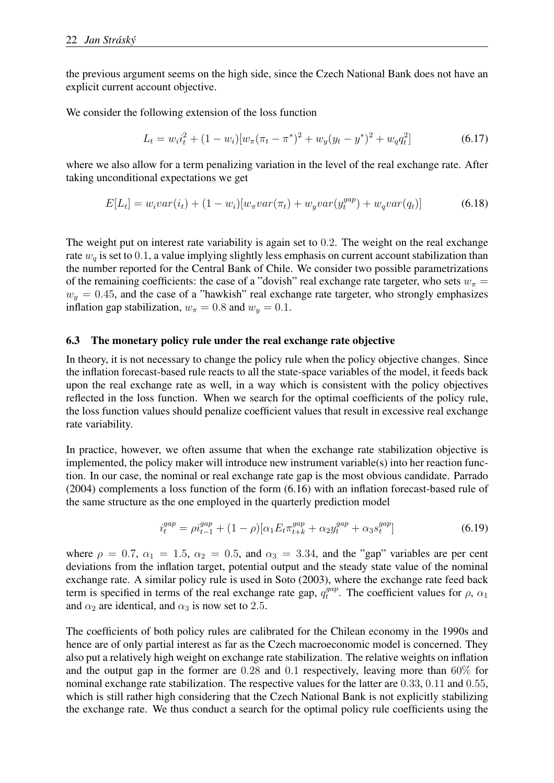the previous argument seems on the high side, since the Czech National Bank does not have an explicit current account objective.

We consider the following extension of the loss function

$$
L_t = w_i i_t^2 + (1 - w_i) [w_\pi (\pi_t - \pi^*)^2 + w_y (y_t - y^*)^2 + w_q q_t^2]
$$
\n(6.17)

where we also allow for a term penalizing variation in the level of the real exchange rate. After taking unconditional expectations we get

$$
E[L_t] = w_i var(i_t) + (1 - w_i)[w_{\pi} var(\pi_t) + w_y var(y_t^{gap}) + w_q var(q_t)]
$$
\n(6.18)

The weight put on interest rate variability is again set to 0.2. The weight on the real exchange rate  $w_q$  is set to 0.1, a value implying slightly less emphasis on current account stabilization than the number reported for the Central Bank of Chile. We consider two possible parametrizations of the remaining coefficients: the case of a "dovish" real exchange rate targeter, who sets  $w_{\pi} =$  $w_y = 0.45$ , and the case of a "hawkish" real exchange rate targeter, who strongly emphasizes inflation gap stabilization,  $w_{\pi} = 0.8$  and  $w_y = 0.1$ .

#### 6.3 The monetary policy rule under the real exchange rate objective

In theory, it is not necessary to change the policy rule when the policy objective changes. Since the inflation forecast-based rule reacts to all the state-space variables of the model, it feeds back upon the real exchange rate as well, in a way which is consistent with the policy objectives reflected in the loss function. When we search for the optimal coefficients of the policy rule, the loss function values should penalize coefficient values that result in excessive real exchange rate variability.

In practice, however, we often assume that when the exchange rate stabilization objective is implemented, the policy maker will introduce new instrument variable(s) into her reaction function. In our case, the nominal or real exchange rate gap is the most obvious candidate. Parrado (2004) complements a loss function of the form (6.16) with an inflation forecast-based rule of the same structure as the one employed in the quarterly prediction model

$$
i_t^{gap} = \rho i_{t-1}^{gap} + (1 - \rho)[\alpha_1 E_t \pi_{t+k}^{gap} + \alpha_2 y_t^{gap} + \alpha_3 s_t^{gap}]
$$
\n(6.19)

where  $\rho = 0.7$ ,  $\alpha_1 = 1.5$ ,  $\alpha_2 = 0.5$ , and  $\alpha_3 = 3.34$ , and the "gap" variables are per cent deviations from the inflation target, potential output and the steady state value of the nominal exchange rate. A similar policy rule is used in Soto (2003), where the exchange rate feed back term is specified in terms of the real exchange rate gap,  $q_t^{gap}$  $t^{gap}$ . The coefficient values for  $\rho$ ,  $\alpha_1$ and  $\alpha_2$  are identical, and  $\alpha_3$  is now set to 2.5.

The coefficients of both policy rules are calibrated for the Chilean economy in the 1990s and hence are of only partial interest as far as the Czech macroeconomic model is concerned. They also put a relatively high weight on exchange rate stabilization. The relative weights on inflation and the output gap in the former are 0.28 and 0.1 respectively, leaving more than 60% for nominal exchange rate stabilization. The respective values for the latter are 0.33, 0.11 and 0.55, which is still rather high considering that the Czech National Bank is not explicitly stabilizing the exchange rate. We thus conduct a search for the optimal policy rule coefficients using the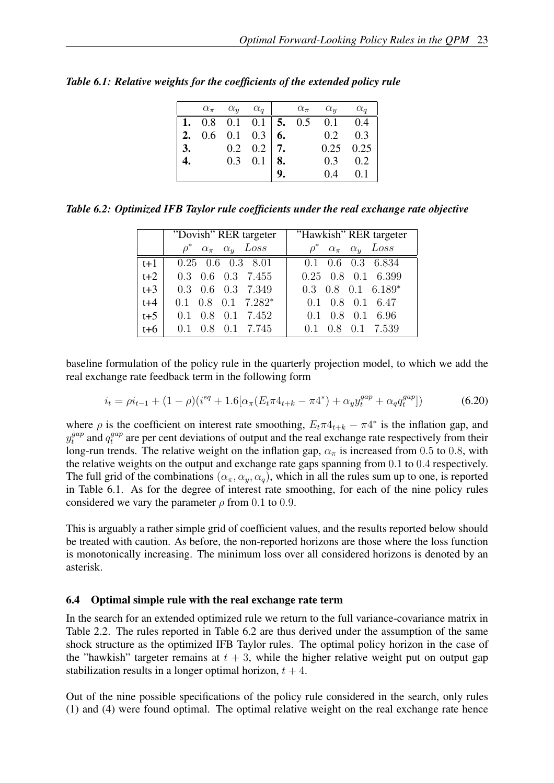|                  |  |                                   |    | $\alpha_{\pi}$ $\alpha_{y}$ $\alpha_{q}$   $\alpha_{\pi}$ $\alpha_{y}$ $\alpha_{q}$ |             |
|------------------|--|-----------------------------------|----|-------------------------------------------------------------------------------------|-------------|
|                  |  |                                   |    | 1. 0.8 0.1 0.1   5. 0.5 0.1 0.4                                                     |             |
|                  |  | <b>2.</b> 0.6 0.1 0.3   <b>6.</b> |    | $0.2 \ 0.3$                                                                         |             |
|                  |  | 3. $0.2 \quad 0.2 \quad 7$ .      |    |                                                                                     | $0.25$ 0.25 |
| $\overline{4}$ . |  | $0.3 \quad 0.1 \mid 8$ .          |    | 0.3                                                                                 | 0.2         |
|                  |  |                                   | 9. | 0.4                                                                                 | 0.1         |

*Table 6.1: Relative weights for the coefficients of the extended policy rule*

*Table 6.2: Optimized IFB Taylor rule coefficients under the real exchange rate objective*

|       | Dovish" RER targeter                      | "Hawkish" RER targeter                    |
|-------|-------------------------------------------|-------------------------------------------|
|       | $\rho^*$ $\alpha_{\pi}$ $\alpha_{y}$ Loss | $\rho^*$ $\alpha_{\pi}$ $\alpha_{y}$ Loss |
| $t+1$ | $0.25$ 0.6 0.3 8.01                       | $0.1$ $0.6$ $0.3$ $6.834$                 |
| $t+2$ | $0.3$ 0.6 0.3 7.455                       | $0.25$ $0.8$ $0.1$ $6.399$                |
| $t+3$ | 0.3 0.6 0.3 7.349                         | $0.3$ $0.8$ $0.1$ $6.189*$                |
| $t+4$ | $0.1$ $0.8$ $0.1$ $7.282*$                | $0.1$ $0.8$ $0.1$ $6.47$                  |
| $t+5$ | $0.1$ $0.8$ $0.1$ $7.452$                 | $0.1$ $0.8$ $0.1$ $6.96$                  |
| $t+6$ | $0.1$ $0.8$ $0.1$ $7.745$                 | 0.8 0.1 7.539<br>0.1                      |

baseline formulation of the policy rule in the quarterly projection model, to which we add the real exchange rate feedback term in the following form

$$
i_t = \rho i_{t-1} + (1 - \rho)(i^{eq} + 1.6[\alpha_\pi (E_t \pi 4_{t+k} - \pi 4^*) + \alpha_y y_t^{gap} + \alpha_q q_t^{gap}]) \tag{6.20}
$$

where  $\rho$  is the coefficient on interest rate smoothing,  $E_t \pi 4_{t+k} - \pi 4^*$  is the inflation gap, and  $y_t^{gap}$  $t_t^{gap}$  and  $q_t^{gap}$  $t^{gap}_t$  are per cent deviations of output and the real exchange rate respectively from their long-run trends. The relative weight on the inflation gap,  $\alpha_{\pi}$  is increased from 0.5 to 0.8, with the relative weights on the output and exchange rate gaps spanning from 0.1 to 0.4 respectively. The full grid of the combinations  $(\alpha_{\pi}, \alpha_{y}, \alpha_{q})$ , which in all the rules sum up to one, is reported in Table 6.1. As for the degree of interest rate smoothing, for each of the nine policy rules considered we vary the parameter  $\rho$  from 0.1 to 0.9.

This is arguably a rather simple grid of coefficient values, and the results reported below should be treated with caution. As before, the non-reported horizons are those where the loss function is monotonically increasing. The minimum loss over all considered horizons is denoted by an asterisk.

#### 6.4 Optimal simple rule with the real exchange rate term

In the search for an extended optimized rule we return to the full variance-covariance matrix in Table 2.2. The rules reported in Table 6.2 are thus derived under the assumption of the same shock structure as the optimized IFB Taylor rules. The optimal policy horizon in the case of the "hawkish" targeter remains at  $t + 3$ , while the higher relative weight put on output gap stabilization results in a longer optimal horizon,  $t + 4$ .

Out of the nine possible specifications of the policy rule considered in the search, only rules (1) and (4) were found optimal. The optimal relative weight on the real exchange rate hence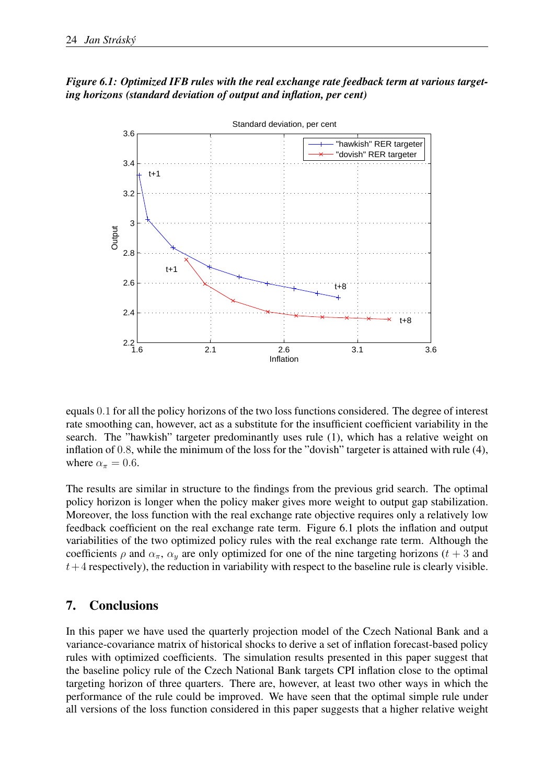## *Figure 6.1: Optimized IFB rules with the real exchange rate feedback term at various targeting horizons (standard deviation of output and inflation, per cent)*



equals 0.1 for all the policy horizons of the two loss functions considered. The degree of interest rate smoothing can, however, act as a substitute for the insufficient coefficient variability in the search. The "hawkish" targeter predominantly uses rule (1), which has a relative weight on inflation of 0.8, while the minimum of the loss for the "dovish" targeter is attained with rule (4), where  $\alpha_{\pi} = 0.6$ .

The results are similar in structure to the findings from the previous grid search. The optimal policy horizon is longer when the policy maker gives more weight to output gap stabilization. Moreover, the loss function with the real exchange rate objective requires only a relatively low feedback coefficient on the real exchange rate term. Figure 6.1 plots the inflation and output variabilities of the two optimized policy rules with the real exchange rate term. Although the coefficients  $\rho$  and  $\alpha_{\pi}$ ,  $\alpha_{y}$  are only optimized for one of the nine targeting horizons (t + 3 and  $t+4$  respectively), the reduction in variability with respect to the baseline rule is clearly visible.

# 7. Conclusions

In this paper we have used the quarterly projection model of the Czech National Bank and a variance-covariance matrix of historical shocks to derive a set of inflation forecast-based policy rules with optimized coefficients. The simulation results presented in this paper suggest that the baseline policy rule of the Czech National Bank targets CPI inflation close to the optimal targeting horizon of three quarters. There are, however, at least two other ways in which the performance of the rule could be improved. We have seen that the optimal simple rule under all versions of the loss function considered in this paper suggests that a higher relative weight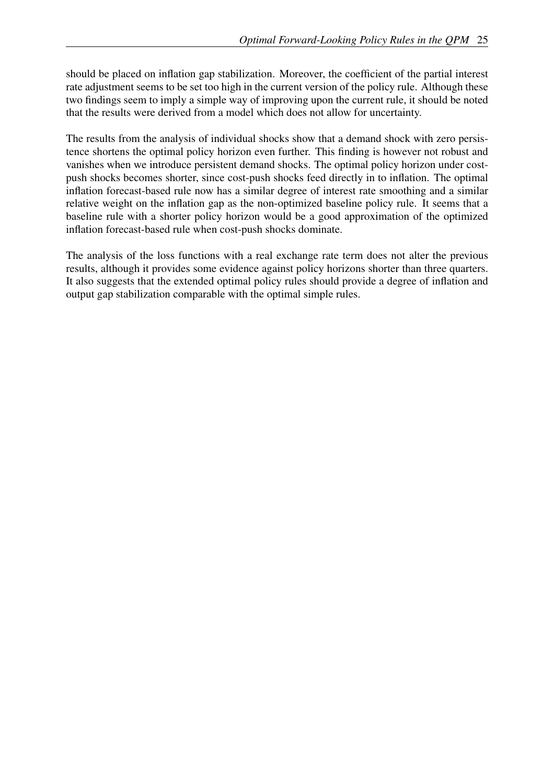should be placed on inflation gap stabilization. Moreover, the coefficient of the partial interest rate adjustment seems to be set too high in the current version of the policy rule. Although these two findings seem to imply a simple way of improving upon the current rule, it should be noted that the results were derived from a model which does not allow for uncertainty.

The results from the analysis of individual shocks show that a demand shock with zero persistence shortens the optimal policy horizon even further. This finding is however not robust and vanishes when we introduce persistent demand shocks. The optimal policy horizon under costpush shocks becomes shorter, since cost-push shocks feed directly in to inflation. The optimal inflation forecast-based rule now has a similar degree of interest rate smoothing and a similar relative weight on the inflation gap as the non-optimized baseline policy rule. It seems that a baseline rule with a shorter policy horizon would be a good approximation of the optimized inflation forecast-based rule when cost-push shocks dominate.

The analysis of the loss functions with a real exchange rate term does not alter the previous results, although it provides some evidence against policy horizons shorter than three quarters. It also suggests that the extended optimal policy rules should provide a degree of inflation and output gap stabilization comparable with the optimal simple rules.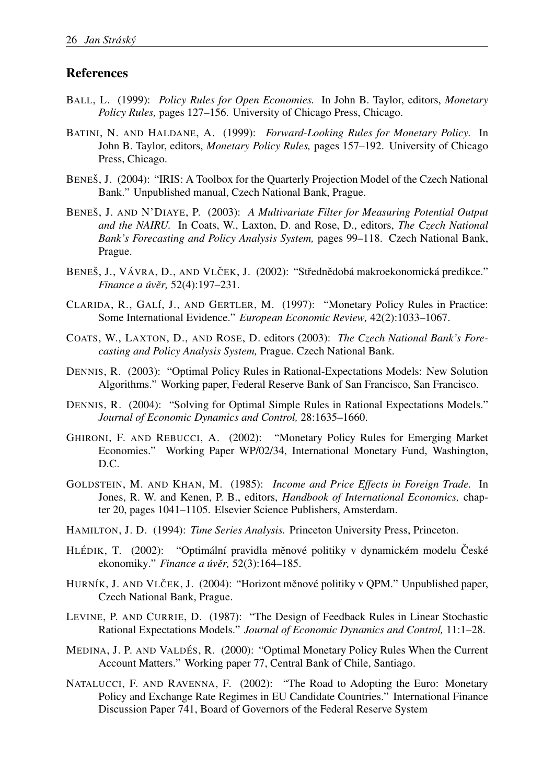## References

- BALL, L. (1999): *Policy Rules for Open Economies.* In John B. Taylor, editors, *Monetary Policy Rules,* pages 127–156. University of Chicago Press, Chicago.
- BATINI, N. AND HALDANE, A. (1999): *Forward-Looking Rules for Monetary Policy.* In John B. Taylor, editors, *Monetary Policy Rules,* pages 157–192. University of Chicago Press, Chicago.
- BENEŠ, J. (2004): "IRIS: A Toolbox for the Quarterly Projection Model of the Czech National Bank." Unpublished manual, Czech National Bank, Prague.
- BENEŠ, J. AND N'DIAYE, P. (2003): *A Multivariate Filter for Measuring Potential Output and the NAIRU.* In Coats, W., Laxton, D. and Rose, D., editors, *The Czech National Bank's Forecasting and Policy Analysis System,* pages 99–118. Czech National Bank, Prague.
- BENEŠ, J., VÁVRA, D., AND VLČEK, J. (2002): "Střednědobá makroekonomická predikce." *Finance a úvěr*, 52(4):197-231.
- CLARIDA, R., GALÍ, J., AND GERTLER, M. (1997): "Monetary Policy Rules in Practice: Some International Evidence." *European Economic Review,* 42(2):1033–1067.
- COATS, W., LAXTON, D., AND ROSE, D. editors (2003): *The Czech National Bank's Forecasting and Policy Analysis System,* Prague. Czech National Bank.
- DENNIS, R. (2003): "Optimal Policy Rules in Rational-Expectations Models: New Solution Algorithms." Working paper, Federal Reserve Bank of San Francisco, San Francisco.
- DENNIS, R. (2004): "Solving for Optimal Simple Rules in Rational Expectations Models." *Journal of Economic Dynamics and Control,* 28:1635–1660.
- GHIRONI, F. AND REBUCCI, A. (2002): "Monetary Policy Rules for Emerging Market Economies." Working Paper WP/02/34, International Monetary Fund, Washington, D.C.
- GOLDSTEIN, M. AND KHAN, M. (1985): *Income and Price Effects in Foreign Trade.* In Jones, R. W. and Kenen, P. B., editors, *Handbook of International Economics,* chapter 20, pages 1041–1105. Elsevier Science Publishers, Amsterdam.
- HAMILTON, J. D. (1994): *Time Series Analysis.* Princeton University Press, Princeton.
- HLÉDIK, T. (2002): "Optimální pravidla měnové politiky v dynamickém modelu České ekonomiky." *Finance a uv´ er, ˇ* 52(3):164–185.
- HURNÍK, J. AND VLČEK, J. (2004): "Horizont měnové politiky v QPM." Unpublished paper, Czech National Bank, Prague.
- LEVINE, P. AND CURRIE, D. (1987): "The Design of Feedback Rules in Linear Stochastic Rational Expectations Models." *Journal of Economic Dynamics and Control,* 11:1–28.
- MEDINA, J. P. AND VALDÉS, R. (2000): "Optimal Monetary Policy Rules When the Current Account Matters." Working paper 77, Central Bank of Chile, Santiago.
- NATALUCCI, F. AND RAVENNA, F. (2002): "The Road to Adopting the Euro: Monetary Policy and Exchange Rate Regimes in EU Candidate Countries." International Finance Discussion Paper 741, Board of Governors of the Federal Reserve System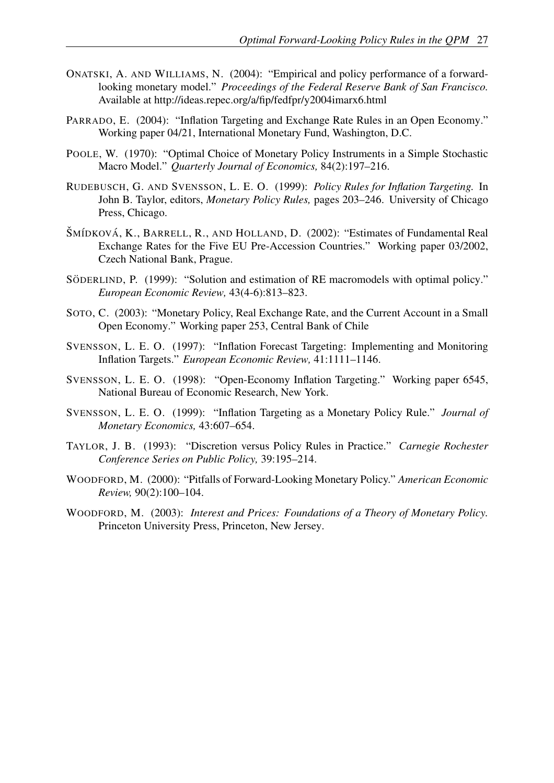- ONATSKI, A. AND WILLIAMS, N. (2004): "Empirical and policy performance of a forwardlooking monetary model." *Proceedings of the Federal Reserve Bank of San Francisco.* Available at http://ideas.repec.org/a/fip/fedfpr/y2004imarx6.html
- PARRADO, E. (2004): "Inflation Targeting and Exchange Rate Rules in an Open Economy." Working paper 04/21, International Monetary Fund, Washington, D.C.
- POOLE, W. (1970): "Optimal Choice of Monetary Policy Instruments in a Simple Stochastic Macro Model." *Quarterly Journal of Economics,* 84(2):197–216.
- RUDEBUSCH, G. AND SVENSSON, L. E. O. (1999): *Policy Rules for Inflation Targeting.* In John B. Taylor, editors, *Monetary Policy Rules,* pages 203–246. University of Chicago Press, Chicago.
- ŠMÍDKOVÁ, K., BARRELL, R., AND HOLLAND, D. (2002): "Estimates of Fundamental Real Exchange Rates for the Five EU Pre-Accession Countries." Working paper 03/2002, Czech National Bank, Prague.
- SÖDERLIND, P. (1999): "Solution and estimation of RE macromodels with optimal policy." *European Economic Review,* 43(4-6):813–823.
- SOTO, C. (2003): "Monetary Policy, Real Exchange Rate, and the Current Account in a Small Open Economy." Working paper 253, Central Bank of Chile
- SVENSSON, L. E. O. (1997): "Inflation Forecast Targeting: Implementing and Monitoring Inflation Targets." *European Economic Review,* 41:1111–1146.
- SVENSSON, L. E. O. (1998): "Open-Economy Inflation Targeting." Working paper 6545, National Bureau of Economic Research, New York.
- SVENSSON, L. E. O. (1999): "Inflation Targeting as a Monetary Policy Rule." *Journal of Monetary Economics,* 43:607–654.
- TAYLOR, J. B. (1993): "Discretion versus Policy Rules in Practice." *Carnegie Rochester Conference Series on Public Policy,* 39:195–214.
- WOODFORD, M. (2000): "Pitfalls of Forward-Looking Monetary Policy." *American Economic Review,* 90(2):100–104.
- WOODFORD, M. (2003): *Interest and Prices: Foundations of a Theory of Monetary Policy.* Princeton University Press, Princeton, New Jersey.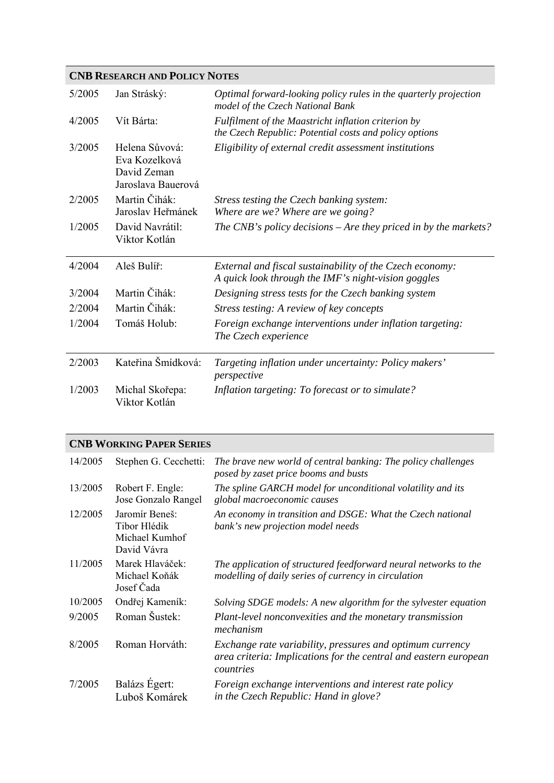## **CNB RESEARCH AND POLICY NOTES**

| 5/2005 | Jan Stráský:                                                         | Optimal forward-looking policy rules in the quarterly projection<br>model of the Czech National Bank            |
|--------|----------------------------------------------------------------------|-----------------------------------------------------------------------------------------------------------------|
| 4/2005 | Vít Bárta:                                                           | Fulfilment of the Maastricht inflation criterion by<br>the Czech Republic: Potential costs and policy options   |
| 3/2005 | Helena Sůvová:<br>Eva Kozelková<br>David Zeman<br>Jaroslava Bauerová | Eligibility of external credit assessment institutions                                                          |
| 2/2005 | Martin Čihák:<br>Jaroslav Heřmánek                                   | Stress testing the Czech banking system:<br>Where are we? Where are we going?                                   |
| 1/2005 | David Navrátil:<br>Viktor Kotlán                                     | The CNB's policy decisions $-A$ re they priced in by the markets?                                               |
| 4/2004 | Aleš Bulíř:                                                          | External and fiscal sustainability of the Czech economy:<br>A quick look through the IMF's night-vision goggles |
| 3/2004 | Martin Čihák:                                                        | Designing stress tests for the Czech banking system                                                             |
| 2/2004 | Martin Čihák:                                                        | Stress testing: A review of key concepts                                                                        |
| 1/2004 | Tomáš Holub:                                                         | Foreign exchange interventions under inflation targeting:<br>The Czech experience                               |
| 2/2003 | Kateřina Šmídková:                                                   | Targeting inflation under uncertainty: Policy makers'<br>perspective                                            |
| 1/2003 | Michal Skořepa:<br>Viktor Kotlán                                     | Inflation targeting: To forecast or to simulate?                                                                |

## **CNB WORKING PAPER SERIES**

| 14/2005 | Stephen G. Cecchetti:                                           | The brave new world of central banking: The policy challenges<br>posed by zaset price booms and busts                                      |
|---------|-----------------------------------------------------------------|--------------------------------------------------------------------------------------------------------------------------------------------|
| 13/2005 | Robert F. Engle:<br>Jose Gonzalo Rangel                         | The spline GARCH model for unconditional volatility and its<br>global macroeconomic causes                                                 |
| 12/2005 | Jaromír Beneš:<br>Tibor Hlédik<br>Michael Kumhof<br>David Vávra | An economy in transition and DSGE: What the Czech national<br>bank's new projection model needs                                            |
| 11/2005 | Marek Hlaváček:<br>Michael Koňák<br>Josef Čada                  | The application of structured feedforward neural networks to the<br>modelling of daily series of currency in circulation                   |
| 10/2005 | Ondřej Kameník:                                                 | Solving SDGE models: A new algorithm for the sylvester equation                                                                            |
| 9/2005  | Roman Šustek:                                                   | Plant-level nonconvexities and the monetary transmission<br>mechanism                                                                      |
| 8/2005  | Roman Horváth:                                                  | Exchange rate variability, pressures and optimum currency<br>area criteria: Implications for the central and eastern european<br>countries |
| 7/2005  | Balázs Égert:<br>Luboš Komárek                                  | Foreign exchange interventions and interest rate policy<br>in the Czech Republic: Hand in glove?                                           |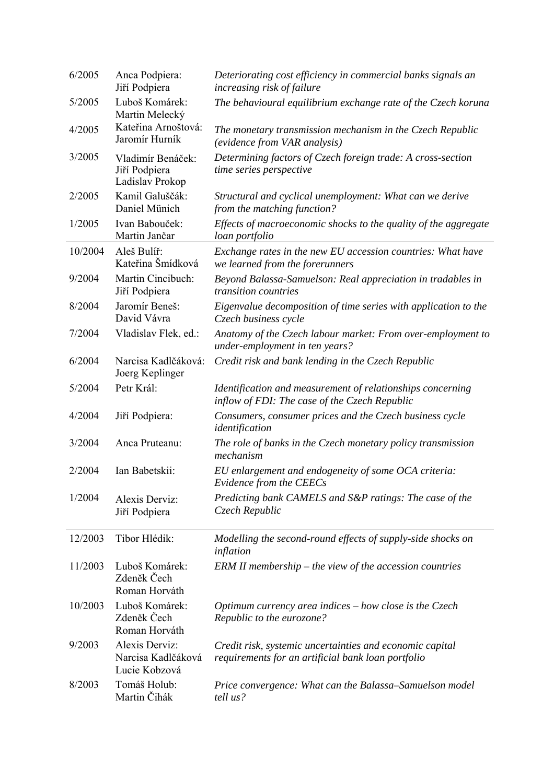| 6/2005  | Anca Podpiera:<br>Jiří Podpiera                       | Deteriorating cost efficiency in commercial banks signals an<br>increasing risk of failure                     |
|---------|-------------------------------------------------------|----------------------------------------------------------------------------------------------------------------|
| 5/2005  | Luboš Komárek:<br>Martin Melecký                      | The behavioural equilibrium exchange rate of the Czech koruna                                                  |
| 4/2005  | Kateřina Arnoštová:<br>Jaromír Hurník                 | The monetary transmission mechanism in the Czech Republic<br>(evidence from VAR analysis)                      |
| 3/2005  | Vladimír Benáček:<br>Jiří Podpiera<br>Ladislav Prokop | Determining factors of Czech foreign trade: A cross-section<br>time series perspective                         |
| 2/2005  | Kamil Galuščák:<br>Daniel Münich                      | Structural and cyclical unemployment: What can we derive<br>from the matching function?                        |
| 1/2005  | Ivan Babouček:<br>Martin Jančar                       | Effects of macroeconomic shocks to the quality of the aggregate<br>loan portfolio                              |
| 10/2004 | Aleš Bulíř:<br>Kateřina Šmídková                      | Exchange rates in the new EU accession countries: What have<br>we learned from the forerunners                 |
| 9/2004  | Martin Cincibuch:<br>Jiří Podpiera                    | Beyond Balassa-Samuelson: Real appreciation in tradables in<br>transition countries                            |
| 8/2004  | Jaromír Beneš:<br>David Vávra                         | Eigenvalue decomposition of time series with application to the<br>Czech business cycle                        |
| 7/2004  | Vladislav Flek, ed.:                                  | Anatomy of the Czech labour market: From over-employment to<br>under-employment in ten years?                  |
| 6/2004  | Narcisa Kadlčáková:<br>Joerg Keplinger                | Credit risk and bank lending in the Czech Republic                                                             |
| 5/2004  | Petr Král:                                            | Identification and measurement of relationships concerning<br>inflow of FDI: The case of the Czech Republic    |
| 4/2004  | Jiří Podpiera:                                        | Consumers, consumer prices and the Czech business cycle<br>identification                                      |
| 3/2004  | Anca Pruteanu:                                        | The role of banks in the Czech monetary policy transmission<br>mechanism                                       |
| 2/2004  | Ian Babetskii:                                        | EU enlargement and endogeneity of some OCA criteria:<br>Evidence from the CEECs                                |
| 1/2004  | Alexis Derviz:<br>Jiří Podpiera                       | Predicting bank CAMELS and S&P ratings: The case of the<br>Czech Republic                                      |
| 12/2003 | Tibor Hlédik:                                         | Modelling the second-round effects of supply-side shocks on<br>inflation                                       |
| 11/2003 | Luboš Komárek:<br>Zdeněk Čech<br>Roman Horváth        | $ERM II$ membership – the view of the accession countries                                                      |
| 10/2003 | Luboš Komárek:<br>Zdeněk Čech<br>Roman Horváth        | Optimum currency area indices $-$ how close is the Czech<br>Republic to the eurozone?                          |
| 9/2003  | Alexis Derviz:<br>Narcisa Kadlčáková<br>Lucie Kobzová | Credit risk, systemic uncertainties and economic capital<br>requirements for an artificial bank loan portfolio |
| 8/2003  | Tomáš Holub:<br>Martin Čihák                          | Price convergence: What can the Balassa–Samuelson model<br>tell us?                                            |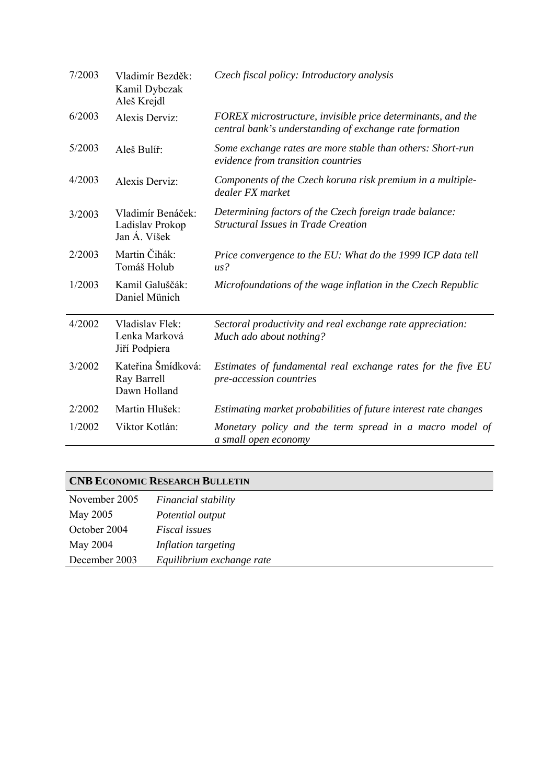| 7/2003 | Vladimír Bezděk:<br>Kamil Dybczak<br>Aleš Krejdl     | Czech fiscal policy: Introductory analysis                                                                             |
|--------|------------------------------------------------------|------------------------------------------------------------------------------------------------------------------------|
| 6/2003 | Alexis Derviz:                                       | FOREX microstructure, invisible price determinants, and the<br>central bank's understanding of exchange rate formation |
| 5/2003 | Aleš Bulíř:                                          | Some exchange rates are more stable than others: Short-run<br>evidence from transition countries                       |
| 4/2003 | Alexis Derviz:                                       | Components of the Czech koruna risk premium in a multiple-<br>dealer FX market                                         |
| 3/2003 | Vladimír Benáček:<br>Ladislav Prokop<br>Jan Á. Víšek | Determining factors of the Czech foreign trade balance:<br><b>Structural Issues in Trade Creation</b>                  |
| 2/2003 | Martin Čihák:<br>Tomáš Holub                         | Price convergence to the EU: What do the 1999 ICP data tell<br>$\mu s$ ?                                               |
| 1/2003 | Kamil Galuščák:<br>Daniel Münich                     | Microfoundations of the wage inflation in the Czech Republic                                                           |
| 4/2002 | Vladislav Flek:<br>Lenka Marková<br>Jiří Podpiera    | Sectoral productivity and real exchange rate appreciation:<br>Much ado about nothing?                                  |
| 3/2002 | Kateřina Šmídková:<br>Ray Barrell<br>Dawn Holland    | Estimates of fundamental real exchange rates for the five EU<br>pre-accession countries                                |
| 2/2002 | Martin Hlušek:                                       | Estimating market probabilities of future interest rate changes                                                        |
| 1/2002 | Viktor Kotlán:                                       | Monetary policy and the term spread in a macro model of<br>a small open economy                                        |

# **CNB ECONOMIC RESEARCH BULLETIN**

| November 2005 | Financial stability       |
|---------------|---------------------------|
| May 2005      | Potential output          |
| October 2004  | <i>Fiscal issues</i>      |
| May 2004      | Inflation targeting       |
| December 2003 | Equilibrium exchange rate |